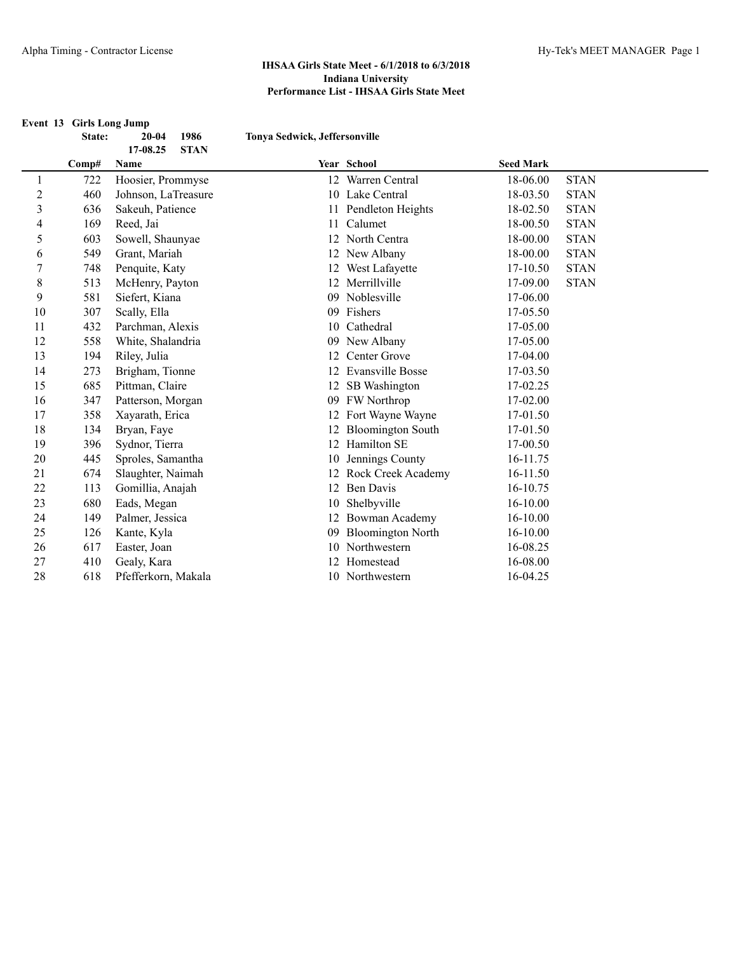|                | Event 13 Girls Long Jump<br>State: | 1986<br>$20 - 04$       | Tonya Sedwick, Jeffersonville |                          |                  |             |
|----------------|------------------------------------|-------------------------|-------------------------------|--------------------------|------------------|-------------|
|                |                                    | 17-08.25<br><b>STAN</b> |                               |                          |                  |             |
|                | Comp#                              | Name                    |                               | Year School              | <b>Seed Mark</b> |             |
| 1              | 722                                | Hoosier, Prommyse       |                               | 12 Warren Central        | 18-06.00         | <b>STAN</b> |
| $\overline{c}$ | 460                                | Johnson, LaTreasure     |                               | 10 Lake Central          | 18-03.50         | <b>STAN</b> |
| 3              | 636                                | Sakeuh, Patience        |                               | 11 Pendleton Heights     | 18-02.50         | <b>STAN</b> |
| 4              | 169                                | Reed, Jai               | 11                            | Calumet                  | 18-00.50         | <b>STAN</b> |
| 5              | 603                                | Sowell, Shaunyae        |                               | 12 North Centra          | 18-00.00         | <b>STAN</b> |
| 6              | 549                                | Grant, Mariah           |                               | 12 New Albany            | 18-00.00         | <b>STAN</b> |
| 7              | 748                                | Penquite, Katy          |                               | 12 West Lafayette        | 17-10.50         | <b>STAN</b> |
| $\,$ 8 $\,$    | 513                                | McHenry, Payton         |                               | 12 Merrillville          | 17-09.00         | <b>STAN</b> |
| 9              | 581                                | Siefert, Kiana          |                               | 09 Noblesville           | 17-06.00         |             |
| 10             | 307                                | Scally, Ella            | 09                            | Fishers                  | 17-05.50         |             |
| 11             | 432                                | Parchman, Alexis        | 10                            | Cathedral                | 17-05.00         |             |
| 12             | 558                                | White, Shalandria       |                               | 09 New Albany            | 17-05.00         |             |
| 13             | 194                                | Riley, Julia            | 12                            | Center Grove             | 17-04.00         |             |
| 14             | 273                                | Brigham, Tionne         | 12                            | Evansville Bosse         | 17-03.50         |             |
| 15             | 685                                | Pittman, Claire         |                               | 12 SB Washington         | 17-02.25         |             |
| 16             | 347                                | Patterson, Morgan       |                               | 09 FW Northrop           | 17-02.00         |             |
| 17             | 358                                | Xayarath, Erica         |                               | 12 Fort Wayne Wayne      | 17-01.50         |             |
| 18             | 134                                | Bryan, Faye             | 12                            | <b>Bloomington South</b> | 17-01.50         |             |
| 19             | 396                                | Sydnor, Tierra          |                               | 12 Hamilton SE           | 17-00.50         |             |
| 20             | 445                                | Sproles, Samantha       | 10                            | Jennings County          | 16-11.75         |             |
| 21             | 674                                | Slaughter, Naimah       | 12                            | Rock Creek Academy       | 16-11.50         |             |
| 22             | 113                                | Gomillia, Anajah        |                               | 12 Ben Davis             | 16-10.75         |             |
| 23             | 680                                | Eads, Megan             | 10                            | Shelbyville              | 16-10.00         |             |
| 24             | 149                                | Palmer, Jessica         | 12                            | Bowman Academy           | $16-10.00$       |             |
| 25             | 126                                | Kante, Kyla             | 09                            | <b>Bloomington North</b> | 16-10.00         |             |
| 26             | 617                                | Easter, Joan            |                               | 10 Northwestern          | 16-08.25         |             |
| 27             | 410                                | Gealy, Kara             | 12                            | Homestead                | 16-08.00         |             |
| 28             | 618                                | Pfefferkorn, Makala     |                               | 10 Northwestern          | 16-04.25         |             |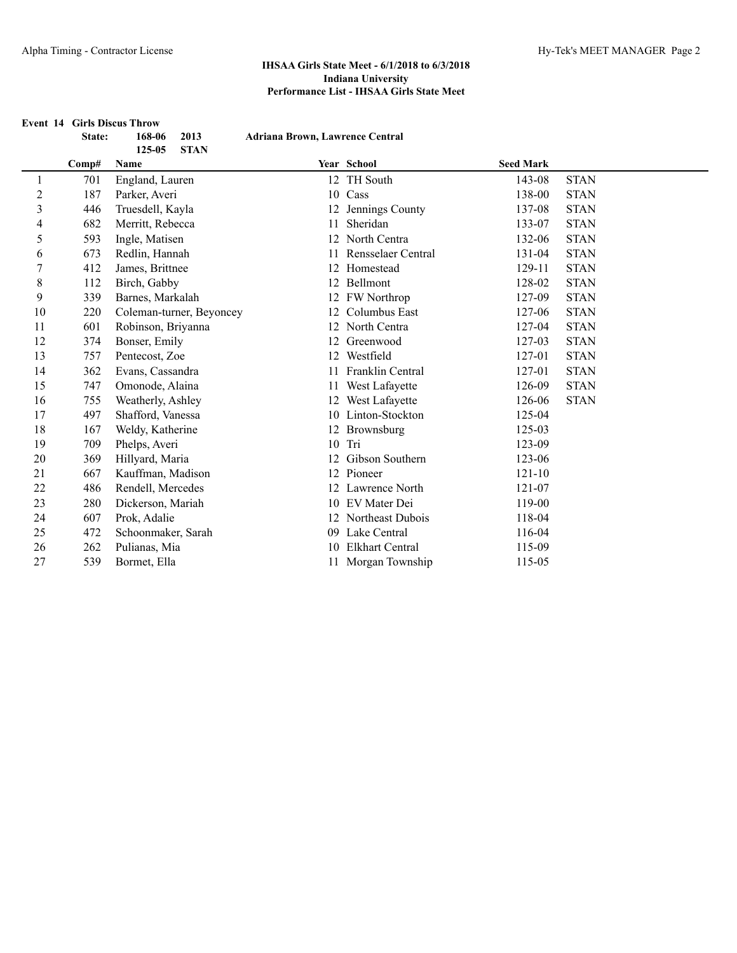|                | State: | <b>Event 14 Girls Discus Throw</b><br>168-06<br>2013 | Adriana Brown, Lawrence Central |                         |                  |             |
|----------------|--------|------------------------------------------------------|---------------------------------|-------------------------|------------------|-------------|
|                |        | 125-05<br><b>STAN</b>                                |                                 |                         |                  |             |
|                | Comp#  | Name                                                 |                                 | Year School             | <b>Seed Mark</b> |             |
| $\mathbf{1}$   | 701    | England, Lauren                                      |                                 | 12 TH South             | 143-08           | <b>STAN</b> |
| $\overline{c}$ | 187    | Parker, Averi                                        |                                 | 10 Cass                 | 138-00           | <b>STAN</b> |
| $\mathfrak{Z}$ | 446    | Truesdell, Kayla                                     |                                 | 12 Jennings County      | 137-08           | <b>STAN</b> |
| 4              | 682    | Merritt, Rebecca                                     | 11                              | Sheridan                | 133-07           | <b>STAN</b> |
| 5              | 593    | Ingle, Matisen                                       |                                 | 12 North Centra         | 132-06           | <b>STAN</b> |
| 6              | 673    | Redlin, Hannah                                       | 11                              | Rensselaer Central      | 131-04           | <b>STAN</b> |
| 7              | 412    | James, Brittnee                                      |                                 | 12 Homestead            | 129-11           | <b>STAN</b> |
| $\,$ 8 $\,$    | 112    | Birch, Gabby                                         |                                 | 12 Bellmont             | 128-02           | <b>STAN</b> |
| 9              | 339    | Barnes, Markalah                                     |                                 | 12 FW Northrop          | 127-09           | <b>STAN</b> |
| 10             | 220    | Coleman-turner, Beyoncey                             |                                 | 12 Columbus East        | 127-06           | <b>STAN</b> |
| 11             | 601    | Robinson, Briyanna                                   |                                 | 12 North Centra         | 127-04           | <b>STAN</b> |
| 12             | 374    | Bonser, Emily                                        |                                 | 12 Greenwood            | 127-03           | <b>STAN</b> |
| 13             | 757    | Pentecost, Zoe                                       | 12                              | Westfield               | 127-01           | <b>STAN</b> |
| 14             | 362    | Evans, Cassandra                                     | 11                              | <b>Franklin Central</b> | 127-01           | <b>STAN</b> |
| 15             | 747    | Omonode, Alaina                                      | 11                              | West Lafayette          | 126-09           | <b>STAN</b> |
| 16             | 755    | Weatherly, Ashley                                    |                                 | 12 West Lafayette       | 126-06           | <b>STAN</b> |
| 17             | 497    | Shafford, Vanessa                                    |                                 | 10 Linton-Stockton      | 125-04           |             |
| 18             | 167    | Weldy, Katherine                                     |                                 | 12 Brownsburg           | 125-03           |             |
| 19             | 709    | Phelps, Averi                                        |                                 | 10 Tri                  | 123-09           |             |
| 20             | 369    | Hillyard, Maria                                      | 12                              | Gibson Southern         | 123-06           |             |
| 21             | 667    | Kauffman, Madison                                    |                                 | 12 Pioneer              | $121 - 10$       |             |
| 22             | 486    | Rendell, Mercedes                                    |                                 | 12 Lawrence North       | 121-07           |             |
| 23             | 280    | Dickerson, Mariah                                    |                                 | 10 EV Mater Dei         | 119-00           |             |
| 24             | 607    | Prok, Adalie                                         |                                 | 12 Northeast Dubois     | 118-04           |             |
| 25             | 472    | Schoonmaker, Sarah                                   |                                 | 09 Lake Central         | 116-04           |             |
| 26             | 262    | Pulianas, Mia                                        |                                 | <b>Elkhart Central</b>  | 115-09           |             |
| 27             | 539    | Bormet, Ella                                         |                                 | 11 Morgan Township      | 115-05           |             |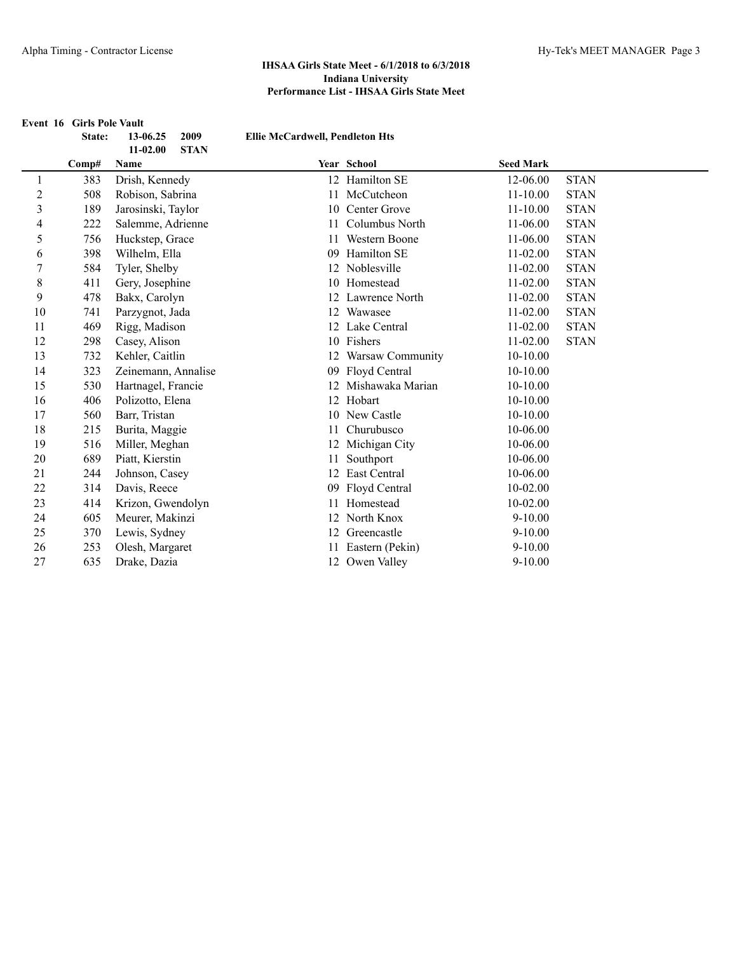**Event 16 Girls Pole Vault State: 13-06.25 2009 Ellie McCardwell, Pendleton Hts 11-02.00 STAN Comp# Name Year School Seed Mark** 383 Drish, Kennedy 12 Hamilton SE 12-06.00 STAN 508 Robison, Sabrina 11 McCutcheon 11-10.00 STAN 189 Jarosinski, Taylor 10 Center Grove 11-10.00 STAN 222 Salemme, Adrienne 11 Columbus North 11-06.00 STAN 756 Huckstep, Grace 11 Western Boone 11-06.00 STAN 398 Wilhelm, Ella 09 Hamilton SE 11-02.00 STAN 584 Tyler, Shelby 12 Noblesville 11-02.00 STAN 8 411 Gery, Josephine 10 Homestead 11-02.00 STAN 478 Bakx, Carolyn 12 Lawrence North 11-02.00 STAN 741 Parzygnot, Jada 12 Wawasee 11-02.00 STAN 469 Rigg, Madison 12 Lake Central 11-02.00 STAN 298 Casey, Alison 10 Fishers 11-02.00 STAN 732 Kehler, Caitlin 12 Warsaw Community 10-10.00 323 Zeinemann, Annalise 09 Floyd Central 10-10.00 530 Hartnagel, Francie 12 Mishawaka Marian 10-10.00 406 Polizotto, Elena 12 Hobart 10-10.00 17 560 Barr, Tristan 10 10 New Castle 10-10.00 18 215 Burita, Maggie 21 11 Churubusco 10-06.00 516 Miller, Meghan 12 Michigan City 10-06.00 689 Piatt, Kierstin 11 Southport 10-06.00 21 244 Johnson, Casey 22 East Central 10-06.00 22 314 Davis, Reece 09 Floyd Central 10-02.00 414 Krizon, Gwendolyn 11 Homestead 10-02.00 605 Meurer, Makinzi 12 North Knox 9-10.00 25 370 Lewis, Sydney 12 Greencastle 9-10.00 253 Olesh, Margaret 11 Eastern (Pekin) 9-10.00 635 Drake, Dazia 12 Owen Valley 9-10.00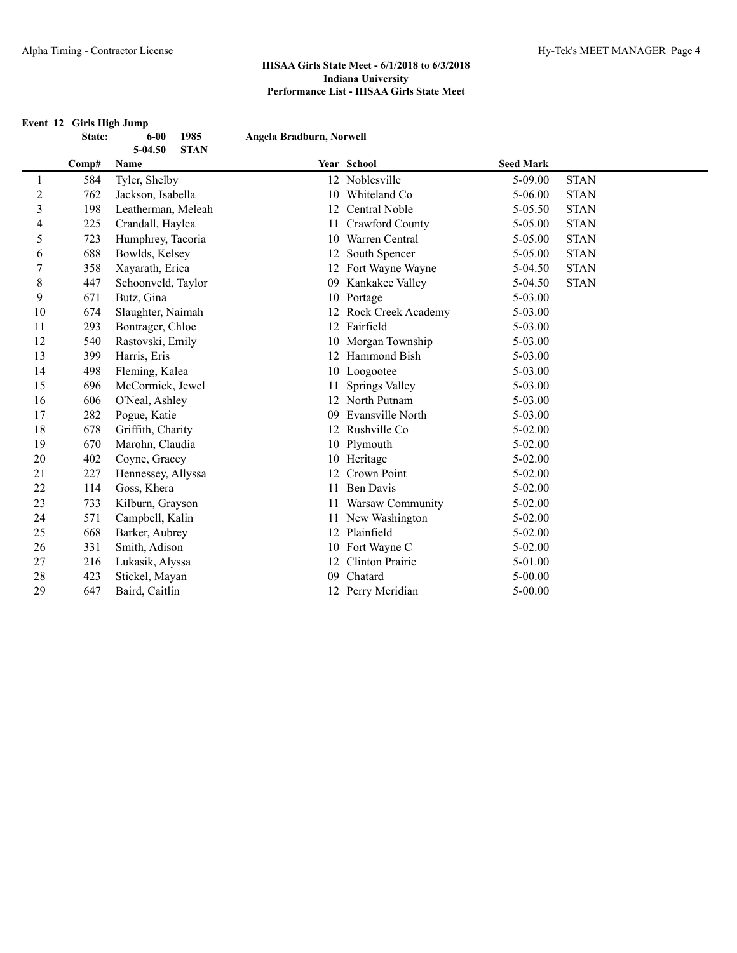| Event 12 Girls High Jump |  |
|--------------------------|--|
|--------------------------|--|

|    | State: | 1985<br>$6 - 00$               | Angela Bradburn, Norwell |                        |                  |             |  |
|----|--------|--------------------------------|--------------------------|------------------------|------------------|-------------|--|
|    | Comp#  | 5-04.50<br><b>STAN</b><br>Name |                          | Year School            | <b>Seed Mark</b> |             |  |
| 1  | 584    | Tyler, Shelby                  |                          | 12 Noblesville         | 5-09.00          | <b>STAN</b> |  |
| 2  | 762    | Jackson, Isabella              | 10                       | Whiteland Co           | $5 - 06.00$      | <b>STAN</b> |  |
| 3  | 198    | Leatherman, Meleah             |                          | 12 Central Noble       | $5 - 05.50$      | <b>STAN</b> |  |
| 4  | 225    | Crandall, Haylea               | 11                       | Crawford County        | 5-05.00          | <b>STAN</b> |  |
| 5  | 723    | Humphrey, Tacoria              | 10                       | Warren Central         | 5-05.00          | <b>STAN</b> |  |
| 6  | 688    | Bowlds, Kelsey                 |                          | South Spencer          | 5-05.00          | <b>STAN</b> |  |
| 7  | 358    | Xayarath, Erica                |                          | 12 Fort Wayne Wayne    | 5-04.50          | <b>STAN</b> |  |
| 8  | 447    | Schoonveld, Taylor             | 09                       | Kankakee Valley        | 5-04.50          | <b>STAN</b> |  |
| 9  | 671    | Butz, Gina                     |                          | 10 Portage             | 5-03.00          |             |  |
| 10 | 674    | Slaughter, Naimah              |                          | 12 Rock Creek Academy  | $5 - 03.00$      |             |  |
| 11 | 293    | Bontrager, Chloe               |                          | 12 Fairfield           | 5-03.00          |             |  |
| 12 | 540    | Rastovski, Emily               |                          | 10 Morgan Township     | $5 - 03.00$      |             |  |
| 13 | 399    | Harris, Eris                   |                          | 12 Hammond Bish        | $5 - 03.00$      |             |  |
| 14 | 498    | Fleming, Kalea                 |                          | 10 Loogootee           | 5-03.00          |             |  |
| 15 | 696    | McCormick, Jewel               |                          | Springs Valley         | 5-03.00          |             |  |
| 16 | 606    | O'Neal, Ashley                 |                          | 12 North Putnam        | $5 - 03.00$      |             |  |
| 17 | 282    | Pogue, Katie                   | 09                       | Evansville North       | 5-03.00          |             |  |
| 18 | 678    | Griffith, Charity              | 12                       | Rushville Co           | $5 - 02.00$      |             |  |
| 19 | 670    | Marohn, Claudia                |                          | 10 Plymouth            | $5 - 02.00$      |             |  |
| 20 | 402    | Coyne, Gracey                  |                          | 10 Heritage            | $5 - 02.00$      |             |  |
| 21 | 227    | Hennessey, Allyssa             |                          | Crown Point            | 5-02.00          |             |  |
| 22 | 114    | Goss, Khera                    | 11                       | <b>Ben Davis</b>       | $5 - 02.00$      |             |  |
| 23 | 733    | Kilburn, Grayson               |                          | 11 Warsaw Community    | $5 - 02.00$      |             |  |
| 24 | 571    | Campbell, Kalin                |                          | 11 New Washington      | $5 - 02.00$      |             |  |
| 25 | 668    | Barker, Aubrey                 | 12                       | Plainfield             | $5 - 02.00$      |             |  |
| 26 | 331    | Smith, Adison                  |                          | 10 Fort Wayne C        | $5 - 02.00$      |             |  |
| 27 | 216    | Lukasik, Alyssa                | 12                       | <b>Clinton Prairie</b> | 5-01.00          |             |  |
| 28 | 423    | Stickel, Mayan                 | 09                       | Chatard                | $5 - 00.00$      |             |  |
| 29 | 647    | Baird, Caitlin                 |                          | 12 Perry Meridian      | $5 - 00.00$      |             |  |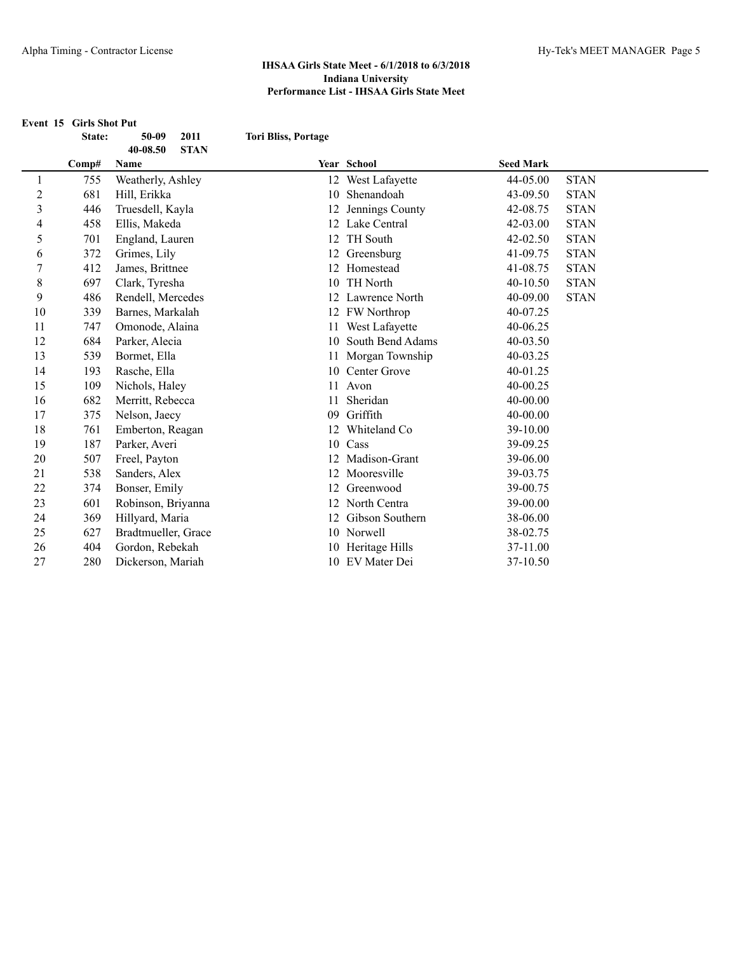**Event 15 Girls Shot Put State: 50-09 2011 Tori Bliss, Portage 40-08.50 STAN Comp# Name Year School Seed Mark** 755 Weatherly, Ashley 12 West Lafayette 44-05.00 STAN 681 Hill, Erikka 10 Shenandoah 43-09.50 STAN 446 Truesdell, Kayla 12 Jennings County 42-08.75 STAN 458 Ellis, Makeda 12 Lake Central 42-03.00 STAN 701 England, Lauren 12 TH South 42-02.50 STAN 372 Grimes, Lily 12 Greensburg 41-09.75 STAN 412 James, Brittnee 12 Homestead 41-08.75 STAN 697 Clark, Tyresha 10 TH North 40-10.50 STAN 486 Rendell, Mercedes 12 Lawrence North 40-09.00 STAN 339 Barnes, Markalah 12 FW Northrop 40-07.25 747 Omonode, Alaina 11 West Lafayette 40-06.25 684 Parker, Alecia 10 South Bend Adams 40-03.50 539 Bormet, Ella 11 Morgan Township 40-03.25 193 Rasche, Ella 10 Center Grove 40-01.25 109 Nichols, Haley 11 Avon 40-00.25 16 682 Merritt, Rebecca 11 Sheridan 40-00.00 375 Nelson, Jaecy 09 Griffith 40-00.00 18 761 Emberton, Reagan 12 Whiteland Co 39-10.00 187 Parker, Averi 10 Cass 39-09.25 507 Freel, Payton 12 Madison-Grant 39-06.00 538 Sanders, Alex 12 Mooresville 39-03.75 374 Bonser, Emily 12 Greenwood 39-00.75 601 Robinson, Briyanna 12 North Centra 39-00.00 369 Hillyard, Maria 12 Gibson Southern 38-06.00 627 Bradtmueller, Grace 10 Norwell 38-02.75 404 Gordon, Rebekah 10 Heritage Hills 37-11.00 280 Dickerson, Mariah 10 EV Mater Dei 37-10.50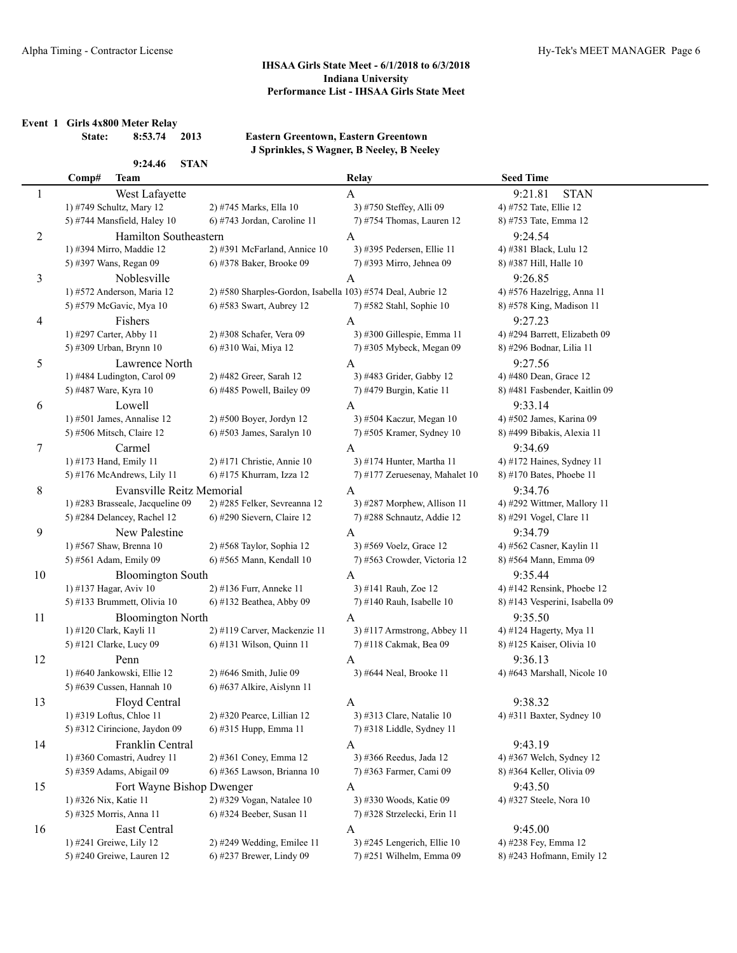**Event 1 Girls 4x800 Meter Relay**

Ĭ.

**State: 8:53.74 2013 Eastern Greentown, Eastern Greentown J Sprinkles, S Wagner, B Neeley, B Neeley**

# **9:24.46 STAN**

|    | Comp#                   | <b>Team</b>                      |                                                             | Relay                          | <b>Seed Time</b>               |
|----|-------------------------|----------------------------------|-------------------------------------------------------------|--------------------------------|--------------------------------|
| 1  |                         | West Lafayette                   |                                                             | A                              | 9:21.81<br><b>STAN</b>         |
|    |                         | 1) #749 Schultz, Mary 12         | 2) #745 Marks, Ella 10                                      | 3) #750 Steffey, Alli 09       | 4) #752 Tate, Ellie 12         |
|    |                         | 5) #744 Mansfield, Haley 10      | 6) #743 Jordan, Caroline 11                                 | 7) #754 Thomas, Lauren 12      | 8) #753 Tate, Emma 12          |
| 2  |                         | Hamilton Southeastern            |                                                             | A                              | 9:24.54                        |
|    |                         | 1) #394 Mirro, Maddie 12         | 2) #391 McFarland, Annice 10                                | 3) #395 Pedersen, Ellie 11     | 4) #381 Black, Lulu 12         |
|    |                         | 5) #397 Wans, Regan 09           | 6) #378 Baker, Brooke 09                                    | 7) #393 Mirro, Jehnea 09       | 8) #387 Hill, Halle 10         |
| 3  |                         | Noblesville                      |                                                             | A                              | 9:26.85                        |
|    |                         | 1) #572 Anderson, Maria 12       | 2) #580 Sharples-Gordon, Isabella 103) #574 Deal, Aubrie 12 |                                | 4) #576 Hazelrigg, Anna 11     |
|    |                         | 5) #579 McGavic, Mya 10          | 6) #583 Swart, Aubrey 12                                    | 7) #582 Stahl, Sophie 10       | 8) #578 King, Madison 11       |
|    |                         |                                  |                                                             |                                | 9:27.23                        |
| 4  |                         | Fishers                          |                                                             | A                              |                                |
|    | 1) #297 Carter, Abby 11 |                                  | 2) #308 Schafer, Vera 09                                    | 3) #300 Gillespie, Emma 11     | 4) #294 Barrett, Elizabeth 09  |
|    |                         | 5) #309 Urban, Brynn 10          | 6) #310 Wai, Miya 12                                        | 7) #305 Mybeck, Megan 09       | 8) #296 Bodnar, Lilia 11       |
| 5  |                         | Lawrence North                   |                                                             | A                              | 9:27.56                        |
|    |                         | 1) #484 Ludington, Carol 09      | 2) #482 Greer, Sarah 12                                     | 3) #483 Grider, Gabby 12       | 4) #480 Dean, Grace 12         |
|    | 5) #487 Ware, Kyra 10   |                                  | 6) #485 Powell, Bailey 09                                   | 7) #479 Burgin, Katie 11       | 8) #481 Fasbender, Kaitlin 09  |
| 6  |                         | Lowell                           |                                                             | A                              | 9:33.14                        |
|    |                         | 1) #501 James, Annalise 12       | 2) #500 Boyer, Jordyn 12                                    | 3) #504 Kaczur, Megan 10       | 4) #502 James, Karina 09       |
|    |                         | 5) #506 Mitsch, Claire 12        | $6$ ) #503 James, Saralyn 10                                | 7) #505 Kramer, Sydney 10      | 8) #499 Bibakis, Alexia 11     |
| 7  |                         | Carmel                           |                                                             | A                              | 9:34.69                        |
|    | 1) #173 Hand, Emily 11  |                                  | 2) #171 Christie, Annie 10                                  | 3) #174 Hunter, Martha 11      | 4) #172 Haines, Sydney 11      |
|    |                         | 5) #176 McAndrews, Lily 11       | 6) #175 Khurram, Izza 12                                    | 7) #177 Zeruesenay, Mahalet 10 | 8) #170 Bates, Phoebe 11       |
| 8  |                         | Evansville Reitz Memorial        |                                                             | A                              | 9:34.76                        |
|    |                         | 1) #283 Brasseale, Jacqueline 09 | 2) #285 Felker, Sevreanna 12                                | 3) #287 Morphew, Allison 11    | 4) #292 Wittmer, Mallory 11    |
|    |                         | 5) #284 Delancey, Rachel 12      | 6) #290 Sievern, Claire 12                                  | 7) #288 Schnautz, Addie 12     | 8) #291 Vogel, Clare 11        |
| 9  |                         | New Palestine                    |                                                             | A                              | 9:34.79                        |
|    |                         | 1) #567 Shaw, Brenna 10          | 2) #568 Taylor, Sophia 12                                   | 3) #569 Voelz, Grace 12        | 4) #562 Casner, Kaylin 11      |
|    |                         | 5) #561 Adam, Emily 09           | 6) #565 Mann, Kendall 10                                    | 7) #563 Crowder, Victoria 12   | 8) #564 Mann, Emma 09          |
| 10 |                         | <b>Bloomington South</b>         |                                                             | A                              | 9:35.44                        |
|    | 1) #137 Hagar, Aviv 10  |                                  | 2) #136 Furr, Anneke 11                                     | 3) #141 Rauh, Zoe 12           | 4) #142 Rensink, Phoebe 12     |
|    |                         | 5) #133 Brummett, Olivia 10      | 6) #132 Beathea, Abby 09                                    | $7)$ #140 Rauh, Isabelle 10    | 8) #143 Vesperini, Isabella 09 |
| 11 |                         | <b>Bloomington North</b>         |                                                             | A                              | 9:35.50                        |
|    | 1) #120 Clark, Kayli 11 |                                  | 2) #119 Carver, Mackenzie 11                                | $3)$ #117 Armstrong, Abbey 11  | 4) #124 Hagerty, Mya 11        |
|    |                         | 5) #121 Clarke, Lucy 09          | 6) #131 Wilson, Quinn 11                                    | 7) #118 Cakmak, Bea 09         | 8) #125 Kaiser, Olivia 10      |
| 12 |                         | Penn                             |                                                             | A                              | 9:36.13                        |
|    |                         | 1) #640 Jankowski, Ellie 12      | 2) #646 Smith, Julie 09                                     | 3) #644 Neal, Brooke 11        | 4) #643 Marshall, Nicole $10$  |
|    |                         | 5) #639 Cussen, Hannah 10        | 6) #637 Alkire, Aislynn 11                                  |                                |                                |
| 13 |                         | Floyd Central                    |                                                             | A                              | 9:38.32                        |
|    |                         | 1) #319 Loftus, Chloe 11         | 2) #320 Pearce, Lillian 12                                  | 3) #313 Clare, Natalie 10      | 4) #311 Baxter, Sydney 10      |
|    |                         | 5) #312 Cirincione, Jaydon 09    | 6) #315 Hupp, Emma 11                                       | 7) #318 Liddle, Sydney 11      |                                |
| 14 |                         | Franklin Central                 |                                                             | A                              | 9:43.19                        |
|    |                         | 1) #360 Comastri, Audrey 11      | 2) #361 Coney, Emma 12                                      | 3) #366 Reedus, Jada 12        | 4) #367 Welch, Sydney 12       |
|    |                         | 5) #359 Adams, Abigail 09        | 6) #365 Lawson, Brianna 10                                  | 7) #363 Farmer, Cami 09        | 8) #364 Keller, Olivia 09      |
|    |                         |                                  |                                                             |                                |                                |
| 15 |                         | Fort Wayne Bishop Dwenger        |                                                             | A                              | 9:43.50                        |
|    | 1) #326 Nix, Katie 11   |                                  | 2) #329 Vogan, Natalee 10                                   | 3) #330 Woods, Katie 09        | 4) #327 Steele, Nora 10        |
|    | 5) #325 Morris, Anna 11 |                                  | 6) #324 Beeber, Susan 11                                    | 7) #328 Strzelecki, Erin 11    |                                |
| 16 |                         | East Central                     |                                                             | A                              | 9:45.00                        |
|    | 1) #241 Greiwe, Lily 12 |                                  | 2) #249 Wedding, Emilee 11                                  | 3) #245 Lengerich, Ellie 10    | 4) #238 Fey, Emma 12           |
|    |                         | 5) #240 Greiwe, Lauren 12        | 6) #237 Brewer, Lindy 09                                    | 7) #251 Wilhelm, Emma 09       | 8) #243 Hofmann, Emily 12      |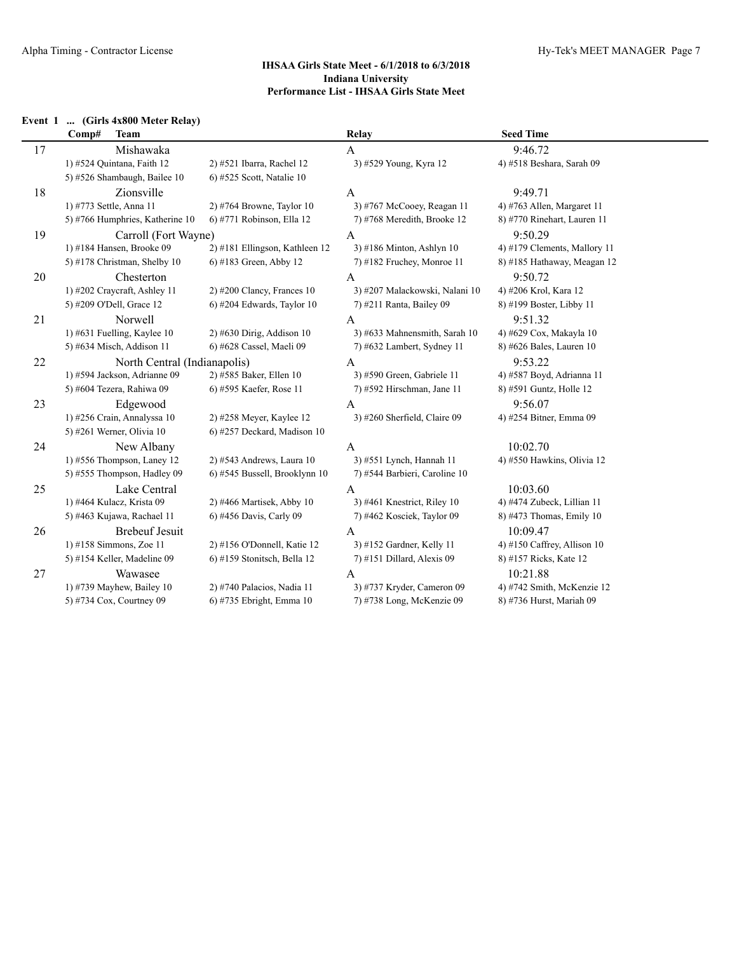## **Event 1 ... (Girls 4x800 Meter Relay)**

|    | Comp#<br><b>Team</b>            |                                | <b>Relay</b>                   | <b>Seed Time</b>             |
|----|---------------------------------|--------------------------------|--------------------------------|------------------------------|
| 17 | Mishawaka                       |                                | A                              | 9:46.72                      |
|    | 1) #524 Quintana, Faith 12      | 2) #521 Ibarra, Rachel 12      | 3) #529 Young, Kyra 12         | 4) #518 Beshara, Sarah 09    |
|    | 5) #526 Shambaugh, Bailee 10    | 6) #525 Scott, Natalie 10      |                                |                              |
| 18 | Zionsville                      |                                | A                              | 9:49.71                      |
|    | 1) #773 Settle, Anna 11         | $2)$ #764 Browne, Taylor 10    | 3) #767 McCooey, Reagan 11     | 4) #763 Allen, Margaret 11   |
|    | 5) #766 Humphries, Katherine 10 | 6) #771 Robinson, Ella 12      | 7) #768 Meredith, Brooke 12    | 8) #770 Rinehart, Lauren 11  |
| 19 | Carroll (Fort Wayne)            |                                | A                              | 9:50.29                      |
|    | 1) #184 Hansen, Brooke 09       | 2) #181 Ellingson, Kathleen 12 | $3)$ #186 Minton, Ashlyn 10    | 4) #179 Clements, Mallory 11 |
|    | 5) #178 Christman, Shelby 10    | 6) #183 Green, Abby 12         | 7) #182 Fruchey, Monroe 11     | 8) #185 Hathaway, Meagan 12  |
| 20 | Chesterton                      |                                | A                              | 9:50.72                      |
|    | 1) #202 Craycraft, Ashley 11    | $2)$ #200 Clancy, Frances 10   | 3) #207 Malackowski, Nalani 10 | 4) #206 Krol, Kara 12        |
|    | 5) #209 O'Dell, Grace 12        | 6) #204 Edwards, Taylor 10     | 7) #211 Ranta, Bailey 09       | 8) #199 Boster, Libby 11     |
| 21 | Norwell                         |                                | A                              | 9:51.32                      |
|    | 1) #631 Fuelling, Kaylee $10$   | $2)$ #630 Dirig, Addison 10    | 3) #633 Mahnensmith, Sarah 10  | 4) #629 Cox, Makayla 10      |
|    | 5) #634 Misch, Addison 11       | 6) #628 Cassel, Maeli 09       | 7) #632 Lambert, Sydney 11     | 8) #626 Bales, Lauren 10     |
| 22 | North Central (Indianapolis)    |                                | A                              | 9:53.22                      |
|    | 1) #594 Jackson, Adrianne 09    | 2) #585 Baker, Ellen 10        | 3) #590 Green, Gabriele 11     | 4) #587 Boyd, Adrianna 11    |
|    | 5) #604 Tezera, Rahiwa 09       | 6) #595 Kaefer, Rose 11        | 7) #592 Hirschman, Jane 11     | 8) #591 Guntz, Holle 12      |
| 23 | Edgewood                        |                                | $\mathbf{A}$                   | 9:56.07                      |
|    | 1) #256 Crain, Annalyssa 10     | 2) #258 Meyer, Kaylee 12       | 3) #260 Sherfield, Claire 09   | 4) #254 Bitner, Emma 09      |
|    | 5) #261 Werner, Olivia 10       | 6) #257 Deckard, Madison 10    |                                |                              |
| 24 | New Albany                      |                                | A                              | 10:02.70                     |
|    | 1) #556 Thompson, Laney 12      | $2)$ #543 Andrews, Laura 10    | 3) #551 Lynch, Hannah 11       | 4) #550 Hawkins, Olivia 12   |
|    | 5) #555 Thompson, Hadley 09     | 6) #545 Bussell, Brooklynn 10  | 7) #544 Barbieri, Caroline 10  |                              |
| 25 | Lake Central                    |                                | A                              | 10:03.60                     |
|    | 1) #464 Kulacz, Krista 09       | 2) #466 Martisek, Abby 10      | 3) #461 Knestrict, Riley 10    | 4) #474 Zubeck, Lillian 11   |
|    | 5) #463 Kujawa, Rachael 11      | 6) #456 Davis, Carly 09        | 7) #462 Kosciek, Taylor 09     | 8) #473 Thomas, Emily 10     |
| 26 | <b>Brebeuf Jesuit</b>           |                                | $\mathbf{A}$                   | 10:09.47                     |
|    | 1) #158 Simmons, Zoe 11         | 2) #156 O'Donnell, Katie 12    | 3) #152 Gardner, Kelly 11      | 4) #150 Caffrey, Allison 10  |
|    | 5) #154 Keller, Madeline 09     | 6) #159 Stonitsch, Bella 12    | 7) #151 Dillard, Alexis 09     | 8) #157 Ricks, Kate 12       |
| 27 | Wawasee                         |                                | A                              | 10:21.88                     |
|    | 1) #739 Mayhew, Bailey $10$     | 2) #740 Palacios, Nadia 11     | 3) #737 Kryder, Cameron 09     | 4) #742 Smith, McKenzie 12   |
|    | 5) #734 Cox, Courtney 09        | 6) #735 Ebright, Emma 10       | 7) #738 Long, McKenzie 09      | 8) #736 Hurst, Mariah 09     |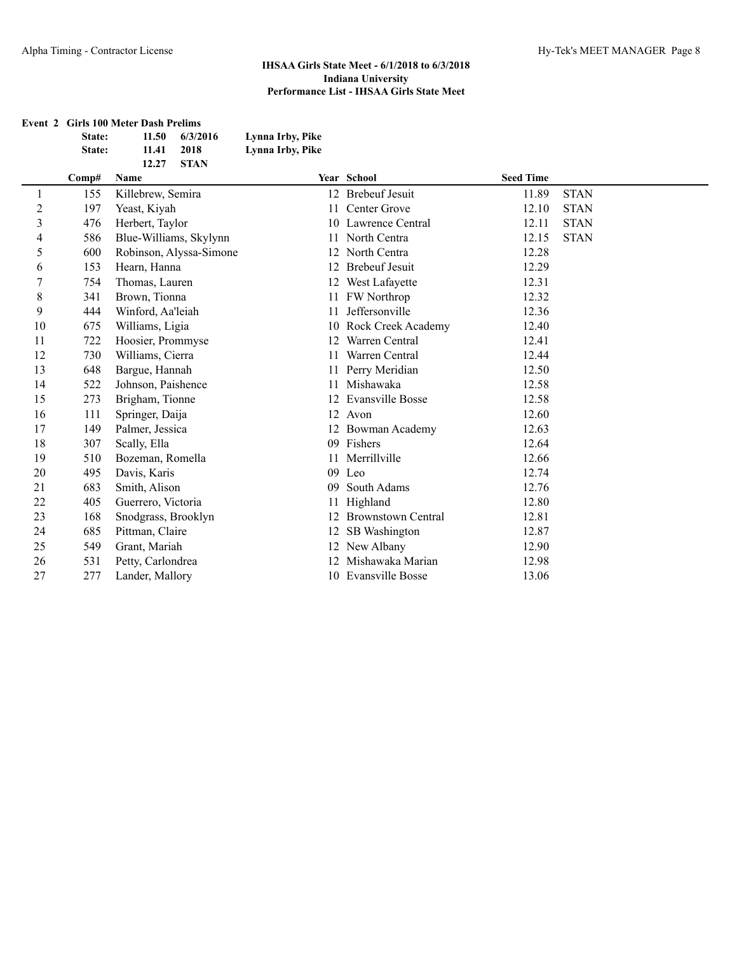|   |        | <b>Event 2 Girls 100 Meter Dash Prelims</b> |                  |                     |                  |             |
|---|--------|---------------------------------------------|------------------|---------------------|------------------|-------------|
|   | State: | 6/3/2016<br>11.50                           | Lynna Irby, Pike |                     |                  |             |
|   | State: | 2018<br>11.41                               | Lynna Irby, Pike |                     |                  |             |
|   |        | <b>STAN</b><br>12.27                        |                  |                     |                  |             |
|   | Comp#  | <b>Name</b>                                 |                  | <b>Year School</b>  | <b>Seed Time</b> |             |
|   | 155    | Killebrew, Semira                           |                  | 12 Brebeuf Jesuit   | 11.89            | <b>STAN</b> |
| 2 | 197    | Yeast, Kiyah                                |                  | 11 Center Grove     | 12.10            | <b>STAN</b> |
|   | 476    | Herbert, Taylor                             |                  | 10 Lawrence Central | 12.11            | <b>STAN</b> |
|   |        | $EQ$ = $D1$ W/11 $$ Club $1$                |                  | 11 M. $1.0$         | $1 \cap 1 \in$   | <b>CTAM</b> |

| $\overline{2}$ | 197 | Yeast, Kiyah            |    | 11 Center Grove         | 12.10 | <b>STAN</b> |  |
|----------------|-----|-------------------------|----|-------------------------|-------|-------------|--|
| 3              | 476 | Herbert, Taylor         |    | 10 Lawrence Central     | 12.11 | <b>STAN</b> |  |
| 4              | 586 | Blue-Williams, Skylynn  |    | 11 North Centra         | 12.15 | <b>STAN</b> |  |
| 5              | 600 | Robinson, Alyssa-Simone |    | 12 North Centra         | 12.28 |             |  |
| 6              | 153 | Hearn, Hanna            | 12 | <b>Brebeuf Jesuit</b>   | 12.29 |             |  |
|                | 754 | Thomas, Lauren          |    | 12 West Lafayette       | 12.31 |             |  |
| 8              | 341 | Brown, Tionna           | 11 | FW Northrop             | 12.32 |             |  |
| 9              | 444 | Winford, Aa'leiah       | 11 | Jeffersonville          | 12.36 |             |  |
| 10             | 675 | Williams, Ligia         |    | 10 Rock Creek Academy   | 12.40 |             |  |
| 11             | 722 | Hoosier, Prommyse       | 12 | Warren Central          | 12.41 |             |  |
| 12             | 730 | Williams, Cierra        | 11 | Warren Central          | 12.44 |             |  |
| 13             | 648 | Bargue, Hannah          |    | Perry Meridian          | 12.50 |             |  |
| 14             | 522 | Johnson, Paishence      | 11 | Mishawaka               | 12.58 |             |  |
| 15             | 273 | Brigham, Tionne         | 12 | <b>Evansville Bosse</b> | 12.58 |             |  |
| 16             | 111 | Springer, Daija         |    | 12 Avon                 | 12.60 |             |  |
| 17             | 149 | Palmer, Jessica         |    | 12 Bowman Academy       | 12.63 |             |  |
| 18             | 307 | Scally, Ella            | 09 | Fishers                 | 12.64 |             |  |
| 19             | 510 | Bozeman, Romella        |    | Merrillville            | 12.66 |             |  |
| 20             | 495 | Davis, Karis            |    | 09 Leo                  | 12.74 |             |  |
| 21             | 683 | Smith, Alison           | 09 | South Adams             | 12.76 |             |  |
| 22             | 405 | Guerrero, Victoria      |    | Highland                | 12.80 |             |  |
| 23             | 168 | Snodgrass, Brooklyn     |    | 12 Brownstown Central   | 12.81 |             |  |
| 24             | 685 | Pittman, Claire         |    | 12 SB Washington        | 12.87 |             |  |
| 25             | 549 | Grant, Mariah           |    | 12 New Albany           | 12.90 |             |  |
| 26             | 531 | Petty, Carlondrea       | 12 | Mishawaka Marian        | 12.98 |             |  |
| 27             | 277 | Lander, Mallory         |    | 10 Evansville Bosse     | 13.06 |             |  |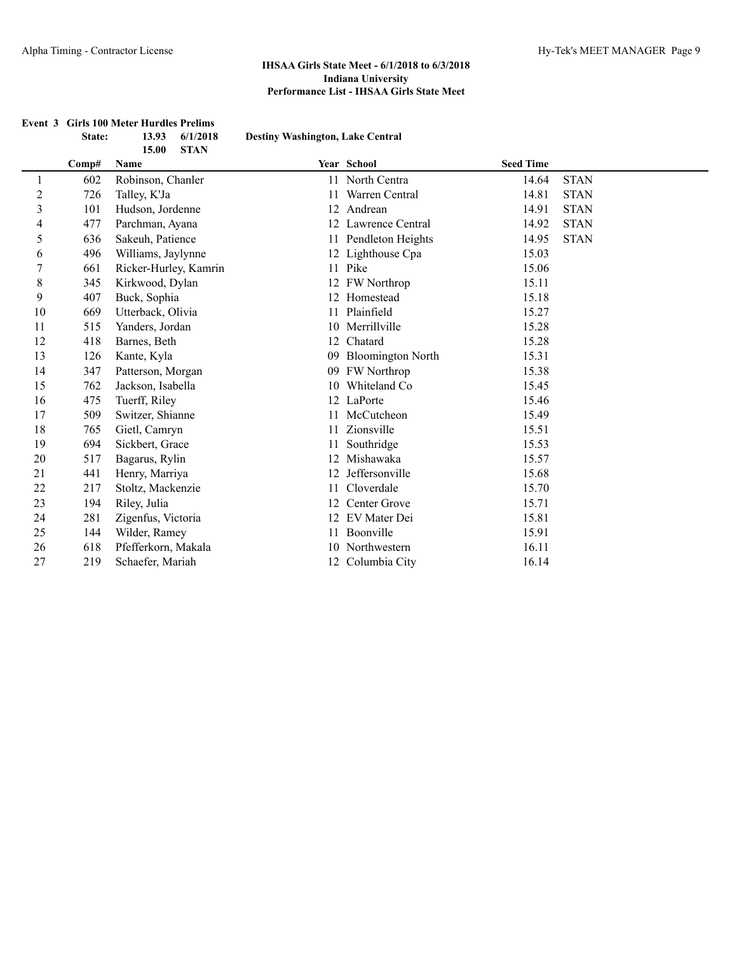|                |       | <b>STAN</b><br>15.00  |    |                          |                  |             |
|----------------|-------|-----------------------|----|--------------------------|------------------|-------------|
|                | Comp# | Name                  |    | Year School              | <b>Seed Time</b> |             |
| 1              | 602   | Robinson, Chanler     |    | 11 North Centra          | 14.64            | <b>STAN</b> |
| $\overline{c}$ | 726   | Talley, K'Ja          |    | Warren Central           | 14.81            | <b>STAN</b> |
| 3              | 101   | Hudson, Jordenne      |    | 12 Andrean               | 14.91            | <b>STAN</b> |
| 4              | 477   | Parchman, Ayana       |    | 12 Lawrence Central      | 14.92            | <b>STAN</b> |
| 5              | 636   | Sakeuh, Patience      |    | 11 Pendleton Heights     | 14.95            | <b>STAN</b> |
| 6              | 496   | Williams, Jaylynne    |    | 12 Lighthouse Cpa        | 15.03            |             |
| $\overline{7}$ | 661   | Ricker-Hurley, Kamrin |    | 11 Pike                  | 15.06            |             |
| 8              | 345   | Kirkwood, Dylan       |    | 12 FW Northrop           | 15.11            |             |
| 9              | 407   | Buck, Sophia          |    | 12 Homestead             | 15.18            |             |
| 10             | 669   | Utterback, Olivia     | 11 | Plainfield               | 15.27            |             |
| 11             | 515   | Yanders, Jordan       |    | 10 Merrillville          | 15.28            |             |
| 12             | 418   | Barnes, Beth          | 12 | Chatard                  | 15.28            |             |
| 13             | 126   | Kante, Kyla           | 09 | <b>Bloomington North</b> | 15.31            |             |
| 14             | 347   | Patterson, Morgan     | 09 | <b>FW</b> Northrop       | 15.38            |             |
| 15             | 762   | Jackson, Isabella     | 10 | Whiteland Co             | 15.45            |             |
| 16             | 475   | Tuerff, Riley         | 12 | LaPorte                  | 15.46            |             |
| 17             | 509   | Switzer, Shianne      | 11 | McCutcheon               | 15.49            |             |
| 18             | 765   | Gietl, Camryn         | 11 | Zionsville               | 15.51            |             |
| 19             | 694   | Sickbert, Grace       | 11 | Southridge               | 15.53            |             |
| 20             | 517   | Bagarus, Rylin        |    | 12 Mishawaka             | 15.57            |             |
| 21             | 441   | Henry, Marriya        | 12 | Jeffersonville           | 15.68            |             |
| 22             | 217   | Stoltz, Mackenzie     | 11 | Cloverdale               | 15.70            |             |
| 23             | 194   | Riley, Julia          | 12 | Center Grove             | 15.71            |             |
| 24             | 281   | Zigenfus, Victoria    | 12 | EV Mater Dei             | 15.81            |             |
| 25             | 144   | Wilder, Ramey         |    | Boonville                | 15.91            |             |
| 26             | 618   | Pfefferkorn, Makala   |    | 10 Northwestern          | 16.11            |             |
| 27             | 219   | Schaefer, Mariah      |    | 12 Columbia City         | 16.14            |             |

#### **Event 3 Girls 100 Meter Hurdles Prelims State: 13.93 6/1/2018 Destiny Washington, Lake Central**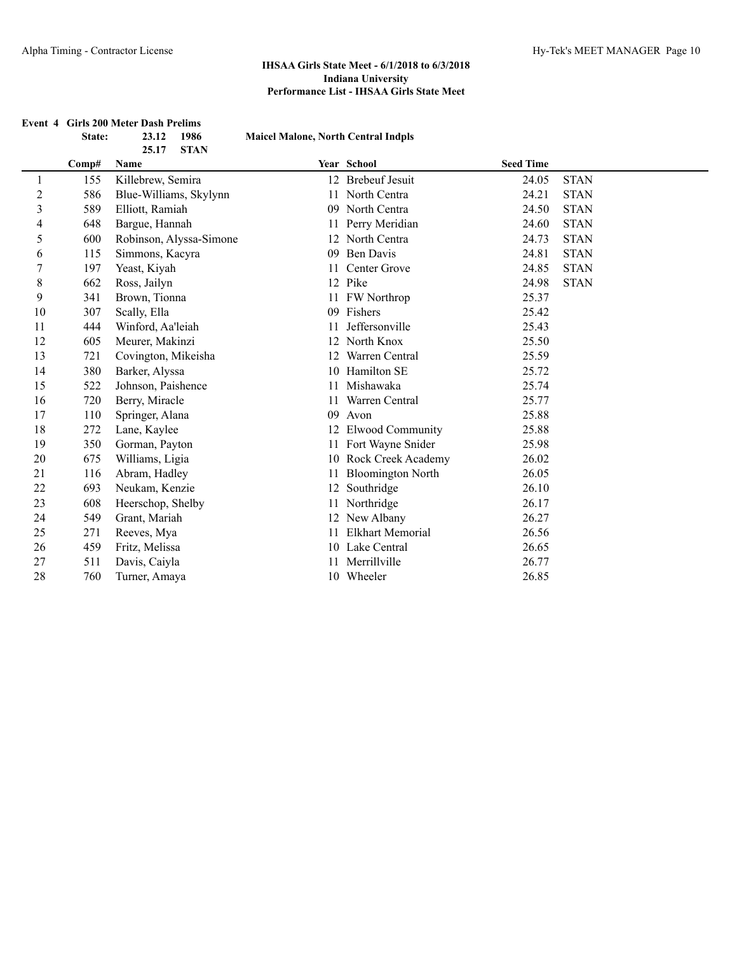|                         |        | <b>Event 4 Girls 200 Meter Dash Prelims</b> |                                            |                          |                  |             |
|-------------------------|--------|---------------------------------------------|--------------------------------------------|--------------------------|------------------|-------------|
|                         | State: | 23.12<br>1986                               | <b>Maicel Malone, North Central Indpls</b> |                          |                  |             |
|                         | Comp#  | 25.17<br><b>STAN</b><br>Name                |                                            | Year School              | <b>Seed Time</b> |             |
| $\mathbf{1}$            | 155    | Killebrew, Semira                           |                                            | 12 Brebeuf Jesuit        | 24.05            | <b>STAN</b> |
| $\overline{c}$          | 586    | Blue-Williams, Skylynn                      | 11                                         | North Centra             | 24.21            | <b>STAN</b> |
| $\overline{\mathbf{3}}$ | 589    | Elliott, Ramiah                             |                                            | 09 North Centra          | 24.50            | <b>STAN</b> |
| 4                       | 648    | Bargue, Hannah                              |                                            | Perry Meridian           | 24.60            | <b>STAN</b> |
| 5                       | 600    | Robinson, Alyssa-Simone                     |                                            | 12 North Centra          | 24.73            | <b>STAN</b> |
| 6                       | 115    | Simmons, Kacyra                             | 09                                         | <b>Ben Davis</b>         | 24.81            | <b>STAN</b> |
| 7                       | 197    | Yeast, Kiyah                                | 11                                         | Center Grove             | 24.85            | <b>STAN</b> |
| 8                       | 662    | Ross, Jailyn                                |                                            | 12 Pike                  | 24.98            | <b>STAN</b> |
| 9                       | 341    | Brown, Tionna                               | 11                                         | FW Northrop              | 25.37            |             |
| 10                      | 307    | Scally, Ella                                | 09                                         | Fishers                  | 25.42            |             |
| 11                      | 444    | Winford, Aa'leiah                           | 11                                         | Jeffersonville           | 25.43            |             |
| 12                      | 605    | Meurer, Makinzi                             | 12                                         | North Knox               | 25.50            |             |
| 13                      | 721    | Covington, Mikeisha                         | 12                                         | Warren Central           | 25.59            |             |
| 14                      | 380    | Barker, Alyssa                              | 10                                         | Hamilton SE              | 25.72            |             |
| 15                      | 522    | Johnson, Paishence                          |                                            | Mishawaka                | 25.74            |             |
| 16                      | 720    | Berry, Miracle                              | 11                                         | Warren Central           | 25.77            |             |
| 17                      | 110    | Springer, Alana                             | 09                                         | Avon                     | 25.88            |             |
| 18                      | 272    | Lane, Kaylee                                |                                            | 12 Elwood Community      | 25.88            |             |
| 19                      | 350    | Gorman, Payton                              | 11                                         | Fort Wayne Snider        | 25.98            |             |
| 20                      | 675    | Williams, Ligia                             |                                            | 10 Rock Creek Academy    | 26.02            |             |
| 21                      | 116    | Abram, Hadley                               | 11                                         | <b>Bloomington North</b> | 26.05            |             |
| 22                      | 693    | Neukam, Kenzie                              |                                            | 12 Southridge            | 26.10            |             |
| 23                      | 608    | Heerschop, Shelby                           |                                            | 11 Northridge            | 26.17            |             |
| 24                      | 549    | Grant, Mariah                               |                                            | 12 New Albany            | 26.27            |             |
| 25                      | 271    | Reeves, Mya                                 | 11                                         | <b>Elkhart Memorial</b>  | 26.56            |             |
| 26                      | 459    | Fritz, Melissa                              |                                            | 10 Lake Central          | 26.65            |             |
| 27                      | 511    | Davis, Caiyla                               | 11                                         | Merrillville             | 26.77            |             |
| 28                      | 760    | Turner, Amaya                               |                                            | 10 Wheeler               | 26.85            |             |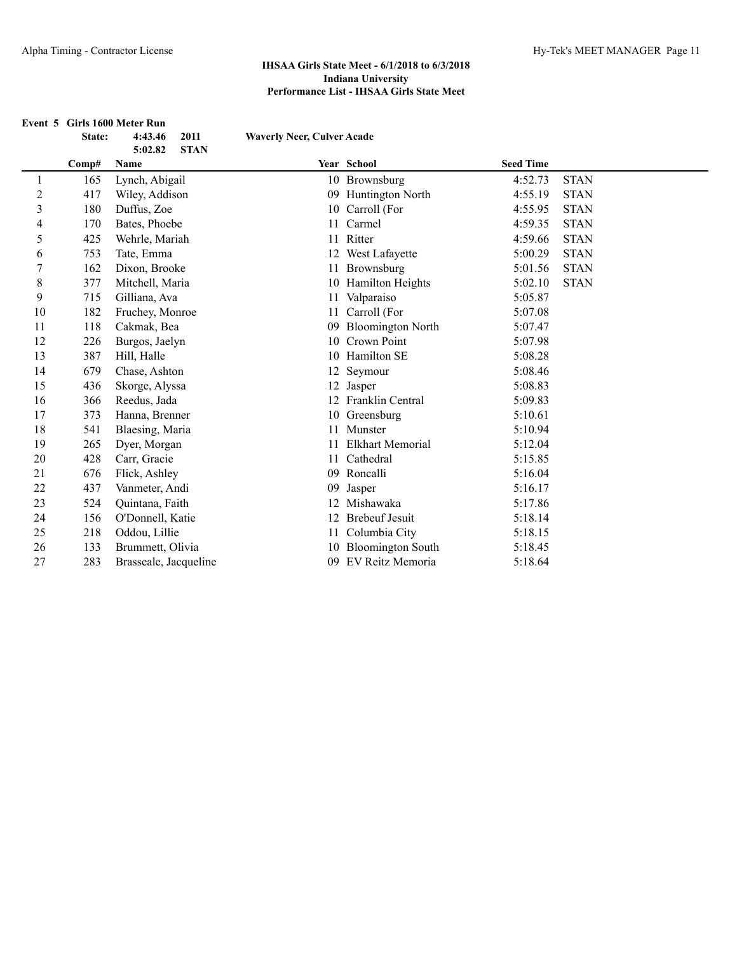|                | State: | Event 5 Girls 1600 Meter Run<br>2011<br>4:43.46 | <b>Waverly Neer, Culver Acade</b> |                          |                  |             |
|----------------|--------|-------------------------------------------------|-----------------------------------|--------------------------|------------------|-------------|
|                |        | <b>STAN</b><br>5:02.82                          |                                   |                          |                  |             |
|                | Comp#  | Name                                            |                                   | Year School              | <b>Seed Time</b> |             |
| 1              | 165    | Lynch, Abigail                                  |                                   | 10 Brownsburg            | 4:52.73          | <b>STAN</b> |
| $\overline{c}$ | 417    | Wiley, Addison                                  |                                   | 09 Huntington North      | 4:55.19          | <b>STAN</b> |
| 3              | 180    | Duffus, Zoe                                     |                                   | 10 Carroll (For          | 4:55.95          | <b>STAN</b> |
| 4              | 170    | Bates, Phoebe                                   | 11                                | Carmel                   | 4:59.35          | <b>STAN</b> |
| 5              | 425    | Wehrle, Mariah                                  | 11                                | Ritter                   | 4:59.66          | <b>STAN</b> |
| 6              | 753    | Tate, Emma                                      |                                   | 12 West Lafayette        | 5:00.29          | <b>STAN</b> |
| 7              | 162    | Dixon, Brooke                                   | 11                                | Brownsburg               | 5:01.56          | <b>STAN</b> |
| 8              | 377    | Mitchell, Maria                                 |                                   | 10 Hamilton Heights      | 5:02.10          | <b>STAN</b> |
| 9              | 715    | Gilliana, Ava                                   | 11                                | Valparaiso               | 5:05.87          |             |
| 10             | 182    | Fruchey, Monroe                                 | 11                                | Carroll (For             | 5:07.08          |             |
| 11             | 118    | Cakmak, Bea                                     | 09                                | <b>Bloomington North</b> | 5:07.47          |             |
| 12             | 226    | Burgos, Jaelyn                                  |                                   | 10 Crown Point           | 5:07.98          |             |
| 13             | 387    | Hill, Halle                                     |                                   | 10 Hamilton SE           | 5:08.28          |             |
| 14             | 679    | Chase, Ashton                                   |                                   | 12 Seymour               | 5:08.46          |             |
| 15             | 436    | Skorge, Alyssa                                  |                                   | 12 Jasper                | 5:08.83          |             |
| 16             | 366    | Reedus, Jada                                    |                                   | 12 Franklin Central      | 5:09.83          |             |
| 17             | 373    | Hanna, Brenner                                  |                                   | 10 Greensburg            | 5:10.61          |             |
| 18             | 541    | Blaesing, Maria                                 | 11                                | Munster                  | 5:10.94          |             |
| 19             | 265    | Dyer, Morgan                                    |                                   | <b>Elkhart Memorial</b>  | 5:12.04          |             |
| 20             | 428    | Carr, Gracie                                    | 11                                | Cathedral                | 5:15.85          |             |
| 21             | 676    | Flick, Ashley                                   |                                   | 09 Roncalli              | 5:16.04          |             |
| 22             | 437    | Vanmeter, Andi                                  | 09                                | Jasper                   | 5:16.17          |             |
| 23             | 524    | Quintana, Faith                                 |                                   | 12 Mishawaka             | 5:17.86          |             |
| 24             | 156    | O'Donnell, Katie                                |                                   | 12 Brebeuf Jesuit        | 5:18.14          |             |
| 25             | 218    | Oddou, Lillie                                   |                                   | 11 Columbia City         | 5:18.15          |             |
| 26             | 133    | Brummett, Olivia                                |                                   | 10 Bloomington South     | 5:18.45          |             |
| 27             | 283    | Brasseale, Jacqueline                           | 09                                | EV Reitz Memoria         | 5:18.64          |             |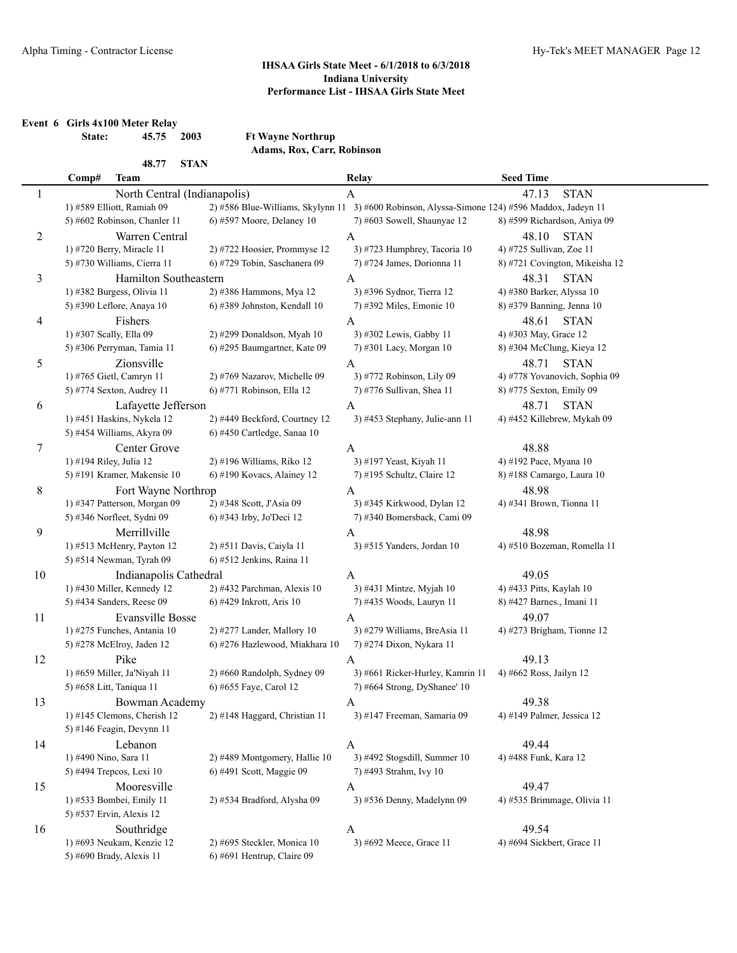**Event 6 Girls 4x100 Meter Relay**

**State: 45.75 2003 Ft Wayne Northrup Adams, Rox, Carr, Robinson**

|              | 48.77<br><b>STAN</b>          |                                |                                                                                               |                                |
|--------------|-------------------------------|--------------------------------|-----------------------------------------------------------------------------------------------|--------------------------------|
|              | Comp#<br>Team                 |                                | <b>Relay</b>                                                                                  | <b>Seed Time</b>               |
| $\mathbf{1}$ | North Central (Indianapolis)  |                                | $\mathbf{A}$                                                                                  | <b>STAN</b><br>47.13           |
|              | 1) #589 Elliott, Ramiah 09    |                                | 2) #586 Blue-Williams, Skylynn 11 3) #600 Robinson, Alyssa-Simone 124) #596 Maddox, Jadeyn 11 |                                |
|              | 5) #602 Robinson, Chanler 11  | 6) #597 Moore, Delaney 10      | 7) #603 Sowell, Shaunyae 12                                                                   | 8) #599 Richardson, Aniya 09   |
| 2            | Warren Central                |                                | $\mathbf{A}$                                                                                  | 48.10<br><b>STAN</b>           |
|              | 1) #720 Berry, Miracle 11     | 2) #722 Hoosier, Prommyse 12   | 3) #723 Humphrey, Tacoria 10                                                                  | 4) #725 Sullivan, Zoe 11       |
|              | 5) #730 Williams, Cierra 11   | 6) #729 Tobin, Saschanera 09   | 7) #724 James, Dorionna 11                                                                    | 8) #721 Covington, Mikeisha 12 |
| 3            | Hamilton Southeastern         |                                | $\mathbf{A}$                                                                                  | 48.31<br><b>STAN</b>           |
|              | 1) #382 Burgess, Olivia 11    | 2) #386 Hammons, Mya 12        | 3) #396 Sydnor, Tierra 12                                                                     | 4) #380 Barker, Alyssa 10      |
|              | 5) #390 Leflore, Anaya 10     | 6) #389 Johnston, Kendall 10   | 7) #392 Miles, Emonie 10                                                                      | 8) #379 Banning, Jenna 10      |
| 4            | Fishers                       |                                | $\mathbf{A}$                                                                                  | 48.61<br><b>STAN</b>           |
|              | 1) #307 Scally, Ella 09       | 2) #299 Donaldson, Myah 10     | 3) #302 Lewis, Gabby 11                                                                       | 4) #303 May, Grace 12          |
|              | 5) #306 Perryman, Tamia 11    | 6) #295 Baumgartner, Kate 09   | 7) #301 Lacy, Morgan 10                                                                       | 8) #304 McClung, Kieya 12      |
| 5            | Zionsville                    |                                | A                                                                                             | <b>STAN</b><br>48.71           |
|              | 1) #765 Gietl, Camryn 11      | 2) #769 Nazarov, Michelle 09   | 3) #772 Robinson, Lily 09                                                                     | 4) #778 Yovanovich, Sophia 09  |
|              | 5) #774 Sexton, Audrey 11     | 6) #771 Robinson, Ella 12      | 7) #776 Sullivan, Shea 11                                                                     | 8) #775 Sexton, Emily 09       |
| 6            | Lafayette Jefferson           |                                | A                                                                                             | 48.71<br><b>STAN</b>           |
|              | 1) #451 Haskins, Nykela 12    | 2) #449 Beckford, Courtney 12  | 3) #453 Stephany, Julie-ann 11                                                                | 4) #452 Killebrew, Mykah 09    |
|              | 5) #454 Williams, Akyra 09    | 6) #450 Cartledge, Sanaa 10    |                                                                                               |                                |
| $\tau$       | Center Grove                  |                                | $\mathbf{A}$                                                                                  | 48.88                          |
|              | 1) #194 Riley, Julia 12       | 2) #196 Williams, Riko 12      | 3) #197 Yeast, Kiyah 11                                                                       | 4) #192 Pace, Myana 10         |
|              | 5) #191 Kramer, Makensie 10   | $6$ ) #190 Kovacs, Alainey 12  | 7) #195 Schultz, Claire 12                                                                    | 8) #188 Camargo, Laura 10      |
| 8            | Fort Wayne Northrop           |                                | $\boldsymbol{A}$                                                                              | 48.98                          |
|              | 1) #347 Patterson, Morgan 09  | 2) #348 Scott, J'Asia 09       | 3) #345 Kirkwood, Dylan 12                                                                    | 4) #341 Brown, Tionna 11       |
|              | 5) #346 Norfleet, Sydni 09    | 6) #343 Irby, Jo'Deci 12       | 7) #340 Bomersback, Cami 09                                                                   |                                |
| 9            | Merrillville                  |                                | A                                                                                             | 48.98                          |
|              | 1) #513 McHenry, Payton 12    | 2) #511 Davis, Caiyla 11       | 3) #515 Yanders, Jordan 10                                                                    | 4) #510 Bozeman, Romella 11    |
|              | 5) #514 Newman, Tyrah 09      | 6) #512 Jenkins, Raina 11      |                                                                                               |                                |
| 10           | Indianapolis Cathedral        |                                | A                                                                                             | 49.05                          |
|              | 1) #430 Miller, Kennedy 12    | 2) #432 Parchman, Alexis 10    | 3) #431 Mintze, Myjah 10                                                                      | 4) #433 Pitts, Kaylah 10       |
|              | 5) #434 Sanders, Reese 09     | 6) #429 Inkrott, Aris 10       | 7) #435 Woods, Lauryn 11                                                                      | 8) #427 Barnes., Imani 11      |
| 11           | Evansville Bosse              |                                | A                                                                                             | 49.07                          |
|              | 1) #275 Funches, Antania 10   | 2) #277 Lander, Mallory 10     | 3) #279 Williams, BreAsia 11                                                                  | 4) #273 Brigham, Tionne 12     |
|              | 5) #278 McElroy, Jaden 12     | 6) #276 Hazlewood, Miakhara 10 | 7) #274 Dixon, Nykara 11                                                                      |                                |
| 12           | Pike                          |                                | A                                                                                             | 49.13                          |
|              | 1) #659 Miller, Ja'Niyah 11   | 2) #660 Randolph, Sydney 09    | 3) #661 Ricker-Hurley, Kamrin 11                                                              | 4) #662 Ross, Jailyn 12        |
|              | 5) #658 Litt, Taniqua 11      | 6) #655 Faye, Carol 12         | 7) #664 Strong, DyShanee' 10                                                                  |                                |
| 13           | Bowman Academy                |                                | $\boldsymbol{A}$                                                                              | 49.38                          |
|              | 1) #145 Clemons, Cherish $12$ | 2) #148 Haggard, Christian 11  | 3) #147 Freeman, Samaria 09                                                                   | 4) #149 Palmer, Jessica 12     |
|              | 5) #146 Feagin, Devynn 11     |                                |                                                                                               |                                |
| 14           | Lebanon                       |                                | A                                                                                             | 49.44                          |
|              | 1) #490 Nino, Sara 11         | 2) #489 Montgomery, Hallie 10  | 3) #492 Stogsdill, Summer 10                                                                  | 4) #488 Funk, Kara 12          |
|              | 5) #494 Trepcos, Lexi 10      | 6) #491 Scott, Maggie 09       | 7) #493 Strahm, Ivy 10                                                                        |                                |
| 15           | Mooresville                   |                                | A                                                                                             | 49.47                          |
|              | 1) #533 Bombei, Emily 11      | 2) #534 Bradford, Alysha 09    | 3) #536 Denny, Madelynn 09                                                                    | 4) #535 Brimmage, Olivia 11    |
|              | 5) #537 Ervin, Alexis 12      |                                |                                                                                               |                                |
| 16           | Southridge                    |                                | A                                                                                             | 49.54                          |
|              | 1) #693 Neukam, Kenzie 12     | 2) #695 Steckler, Monica 10    | 3) #692 Meece, Grace 11                                                                       | 4) #694 Sickbert, Grace 11     |
|              | 5) #690 Brady, Alexis 11      | 6) #691 Hentrup, Claire 09     |                                                                                               |                                |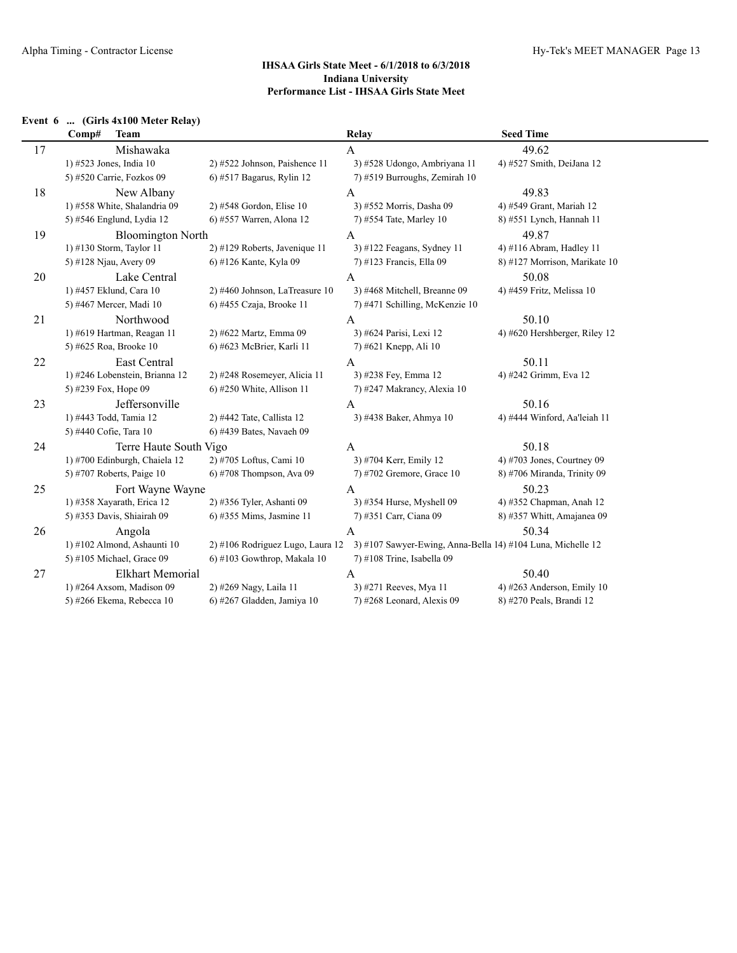| Event 6 | (Girls 4x100 Meter Relay) |  |
|---------|---------------------------|--|
|---------|---------------------------|--|

|    | Comp#<br><b>Team</b>           |                                  | <b>Relay</b>                                                | <b>Seed Time</b>              |
|----|--------------------------------|----------------------------------|-------------------------------------------------------------|-------------------------------|
| 17 | Mishawaka                      |                                  | $\mathbf{A}$                                                | 49.62                         |
|    | 1) #523 Jones, India 10        | 2) #522 Johnson, Paishence 11    | 3) #528 Udongo, Ambriyana 11                                | 4) #527 Smith, DeiJana 12     |
|    | 5) #520 Carrie, Fozkos 09      | 6) #517 Bagarus, Rylin 12        | 7) #519 Burroughs, Zemirah 10                               |                               |
| 18 | New Albany                     |                                  | A                                                           | 49.83                         |
|    | 1) #558 White, Shalandria 09   | 2) #548 Gordon, Elise 10         | 3) #552 Morris, Dasha 09                                    | 4) #549 Grant, Mariah 12      |
|    | 5) #546 Englund, Lydia 12      | 6) #557 Warren, Alona 12         | 7) #554 Tate, Marley 10                                     | 8) #551 Lynch, Hannah 11      |
| 19 | <b>Bloomington North</b>       |                                  | $\mathbf{A}$                                                | 49.87                         |
|    | 1) #130 Storm, Taylor 11       | 2) #129 Roberts, Javenique 11    | 3) #122 Feagans, Sydney 11                                  | 4) #116 Abram, Hadley 11      |
|    | 5) #128 Njau, Avery 09         | 6) #126 Kante, Kyla 09           | 7) #123 Francis, Ella 09                                    | 8) #127 Morrison, Marikate 10 |
| 20 | Lake Central                   |                                  | $\mathbf{A}$                                                | 50.08                         |
|    | 1) #457 Eklund, Cara 10        | 2) #460 Johnson, LaTreasure 10   | 3) #468 Mitchell, Breanne 09                                | 4) #459 Fritz, Melissa 10     |
|    | 5) #467 Mercer, Madi 10        | 6) #455 Czaja, Brooke 11         | 7) #471 Schilling, McKenzie 10                              |                               |
| 21 | Northwood                      |                                  | A                                                           | 50.10                         |
|    | 1) #619 Hartman, Reagan 11     | 2) #622 Martz, Emma 09           | 3) #624 Parisi, Lexi 12                                     | 4) #620 Hershberger, Riley 12 |
|    | 5) #625 Roa, Brooke 10         | 6) #623 McBrier, Karli 11        | 7) #621 Knepp, Ali 10                                       |                               |
| 22 | East Central                   |                                  | $\mathbf{A}$                                                | 50.11                         |
|    | 1) #246 Lobenstein, Brianna 12 | 2) #248 Rosemeyer, Alicia 11     | 3) #238 Fey, Emma 12                                        | 4) #242 Grimm, Eva 12         |
|    | 5) #239 Fox, Hope 09           | $6$ ) #250 White, Allison 11     | 7) #247 Makrancy, Alexia 10                                 |                               |
| 23 | Jeffersonville                 |                                  | A                                                           | 50.16                         |
|    | 1) #443 Todd, Tamia 12         | 2) #442 Tate, Callista 12        | 3) #438 Baker, Ahmya 10                                     | 4) #444 Winford, Aa'leiah 11  |
|    | 5) #440 Cofie, Tara 10         | 6) #439 Bates, Navaeh 09         |                                                             |                               |
| 24 | Terre Haute South Vigo         |                                  | A                                                           | 50.18                         |
|    | 1) #700 Edinburgh, Chaiela 12  | 2) #705 Loftus, Cami 10          | 3) #704 Kerr, Emily 12                                      | 4) #703 Jones, Courtney $09$  |
|    | 5) #707 Roberts, Paige 10      | 6) #708 Thompson, Ava 09         | 7) #702 Gremore, Grace 10                                   | 8) #706 Miranda, Trinity 09   |
| 25 | Fort Wayne Wayne               |                                  | $\mathbf{A}$                                                | 50.23                         |
|    | 1) #358 Xayarath, Erica 12     | 2) #356 Tyler, Ashanti 09        | 3) #354 Hurse, Myshell 09                                   | 4) #352 Chapman, Anah 12      |
|    | 5) #353 Davis, Shiairah 09     | 6) #355 Mims, Jasmine 11         | 7) #351 Carr, Ciana 09                                      | 8) #357 Whitt, Amajanea 09    |
| 26 | Angola                         |                                  | $\mathbf{A}$                                                | 50.34                         |
|    | 1) #102 Almond, Ashaunti 10    | 2) #106 Rodriguez Lugo, Laura 12 | 3) #107 Sawyer-Ewing, Anna-Bella 14) #104 Luna, Michelle 12 |                               |
|    | 5) #105 Michael, Grace 09      | $6$ ) #103 Gowthrop, Makala 10   | 7) #108 Trine, Isabella 09                                  |                               |
| 27 | Elkhart Memorial               |                                  | A                                                           | 50.40                         |
|    | 1) #264 Axsom, Madison 09      | 2) #269 Nagy, Laila 11           | 3) #271 Reeves, Mya 11                                      | 4) #263 Anderson, Emily $10$  |
|    | 5) #266 Ekema, Rebecca 10      | 6) #267 Gladden, Jamiya 10       | 7) #268 Leonard, Alexis 09                                  | 8) #270 Peals, Brandi 12      |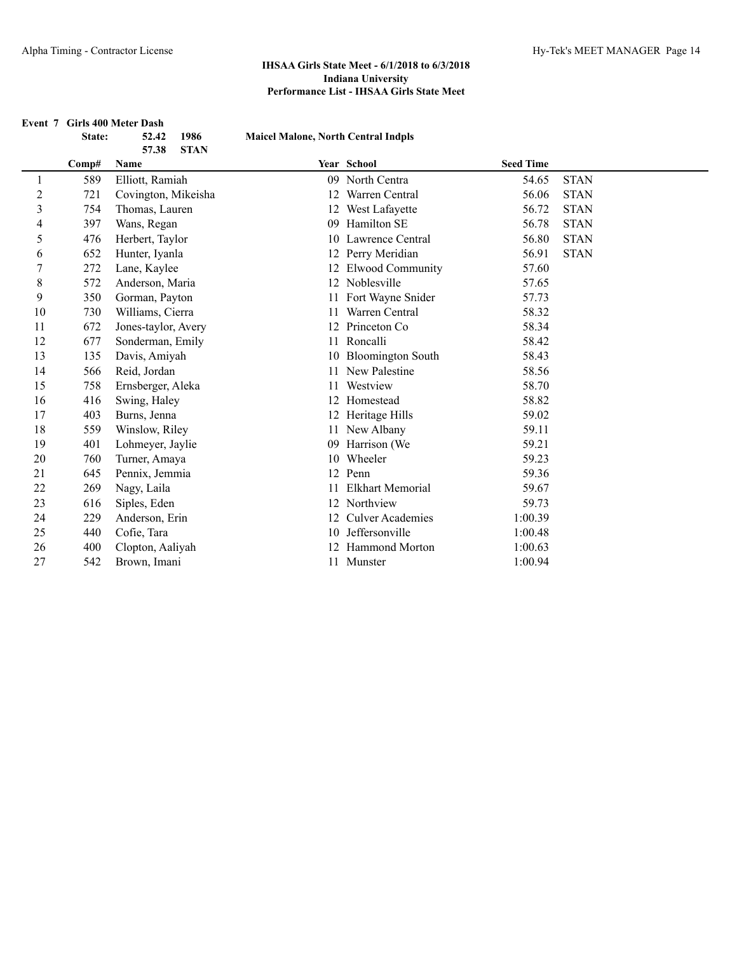|                | State: | Event 7 Girls 400 Meter Dash<br>1986<br>52.42 | <b>Maicel Malone, North Central Indpls</b> |                         |                  |             |
|----------------|--------|-----------------------------------------------|--------------------------------------------|-------------------------|------------------|-------------|
|                |        | 57.38<br><b>STAN</b>                          |                                            |                         |                  |             |
|                | Comp#  | Name                                          |                                            | Year School             | <b>Seed Time</b> |             |
| 1              | 589    | Elliott, Ramiah                               |                                            | 09 North Centra         | 54.65            | <b>STAN</b> |
| $\overline{c}$ | 721    | Covington, Mikeisha                           | 12                                         | Warren Central          | 56.06            | <b>STAN</b> |
| 3              | 754    | Thomas, Lauren                                |                                            | 12 West Lafayette       | 56.72            | <b>STAN</b> |
| 4              | 397    | Wans, Regan                                   | 09                                         | Hamilton SE             | 56.78            | <b>STAN</b> |
| 5              | 476    | Herbert, Taylor                               |                                            | 10 Lawrence Central     | 56.80            | <b>STAN</b> |
| 6              | 652    | Hunter, Iyanla                                |                                            | 12 Perry Meridian       | 56.91            | <b>STAN</b> |
| 7              | 272    | Lane, Kaylee                                  |                                            | 12 Elwood Community     | 57.60            |             |
| 8              | 572    | Anderson, Maria                               |                                            | 12 Noblesville          | 57.65            |             |
| 9              | 350    | Gorman, Payton                                |                                            | Fort Wayne Snider       | 57.73            |             |
| 10             | 730    | Williams, Cierra                              | 11                                         | Warren Central          | 58.32            |             |
| 11             | 672    | Jones-taylor, Avery                           | 12                                         | Princeton Co            | 58.34            |             |
| 12             | 677    | Sonderman, Emily                              | 11                                         | Roncalli                | 58.42            |             |
| 13             | 135    | Davis, Amiyah                                 |                                            | 10 Bloomington South    | 58.43            |             |
| 14             | 566    | Reid, Jordan                                  | 11                                         | New Palestine           | 58.56            |             |
| 15             | 758    | Ernsberger, Aleka                             | 11                                         | Westview                | 58.70            |             |
| 16             | 416    | Swing, Haley                                  |                                            | 12 Homestead            | 58.82            |             |
| 17             | 403    | Burns, Jenna                                  |                                            | 12 Heritage Hills       | 59.02            |             |
| 18             | 559    | Winslow, Riley                                |                                            | 11 New Albany           | 59.11            |             |
| 19             | 401    | Lohmeyer, Jaylie                              | 09                                         | Harrison (We            | 59.21            |             |
| 20             | 760    | Turner, Amaya                                 | 10                                         | Wheeler                 | 59.23            |             |
| 21             | 645    | Pennix, Jemmia                                | 12                                         | Penn                    | 59.36            |             |
| 22             | 269    | Nagy, Laila                                   | 11                                         | <b>Elkhart Memorial</b> | 59.67            |             |
| 23             | 616    | Siples, Eden                                  |                                            | 12 Northview            | 59.73            |             |
| 24             | 229    | Anderson, Erin                                |                                            | 12 Culver Academies     | 1:00.39          |             |
| 25             | 440    | Cofie, Tara                                   |                                            | 10 Jeffersonville       | 1:00.48          |             |
| 26             | 400    | Clopton, Aaliyah                              |                                            | <b>Hammond Morton</b>   | 1:00.63          |             |
| 27             | 542    | Brown, Imani                                  |                                            | 11 Munster              | 1:00.94          |             |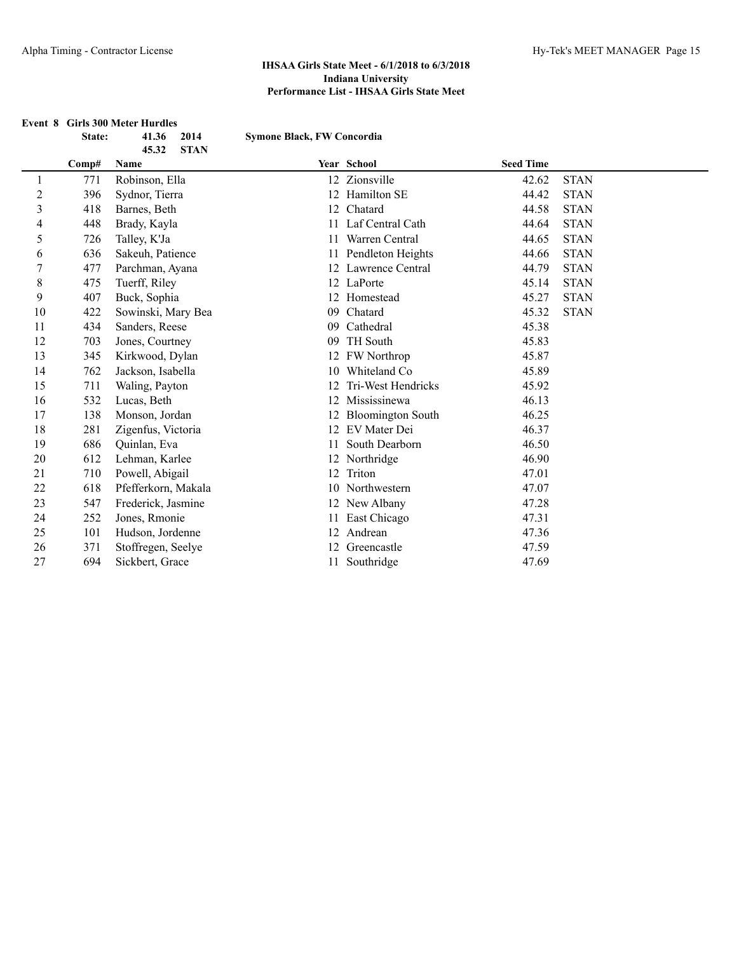#### **Event 8 Girls 300 Meter Hurdles**

|                | State: | 41.36               | 2014        | <b>Symone Black, FW Concordia</b> |                          |                  |             |
|----------------|--------|---------------------|-------------|-----------------------------------|--------------------------|------------------|-------------|
|                |        | 45.32               | <b>STAN</b> |                                   |                          |                  |             |
|                | Comp#  | Name                |             |                                   | Year School              | <b>Seed Time</b> |             |
| 1              | 771    | Robinson, Ella      |             |                                   | 12 Zionsville            | 42.62            | <b>STAN</b> |
| $\overline{2}$ | 396    | Sydnor, Tierra      |             |                                   | 12 Hamilton SE           | 44.42            | <b>STAN</b> |
| 3              | 418    | Barnes, Beth        |             | 12                                | Chatard                  | 44.58            | <b>STAN</b> |
| 4              | 448    | Brady, Kayla        |             | 11                                | Laf Central Cath         | 44.64            | <b>STAN</b> |
| 5              | 726    | Talley, K'Ja        |             | 11                                | Warren Central           | 44.65            | <b>STAN</b> |
| 6              | 636    | Sakeuh, Patience    |             |                                   | 11 Pendleton Heights     | 44.66            | <b>STAN</b> |
| 7              | 477    | Parchman, Ayana     |             |                                   | 12 Lawrence Central      | 44.79            | <b>STAN</b> |
| 8              | 475    | Tuerff, Riley       |             |                                   | 12 LaPorte               | 45.14            | <b>STAN</b> |
| 9              | 407    | Buck, Sophia        |             |                                   | 12 Homestead             | 45.27            | <b>STAN</b> |
| 10             | 422    | Sowinski, Mary Bea  |             | 09                                | Chatard                  | 45.32            | <b>STAN</b> |
| 11             | 434    | Sanders, Reese      |             | 09                                | Cathedral                | 45.38            |             |
| 12             | 703    | Jones, Courtney     |             | 09                                | TH South                 | 45.83            |             |
| 13             | 345    | Kirkwood, Dylan     |             |                                   | 12 FW Northrop           | 45.87            |             |
| 14             | 762    | Jackson, Isabella   |             |                                   | 10 Whiteland Co          | 45.89            |             |
| 15             | 711    | Waling, Payton      |             | 12                                | Tri-West Hendricks       | 45.92            |             |
| 16             | 532    | Lucas, Beth         |             | 12                                | Mississinewa             | 46.13            |             |
| 17             | 138    | Monson, Jordan      |             | 12                                | <b>Bloomington South</b> | 46.25            |             |
| 18             | 281    | Zigenfus, Victoria  |             |                                   | 12 EV Mater Dei          | 46.37            |             |
| 19             | 686    | Quinlan, Eva        |             | 11                                | South Dearborn           | 46.50            |             |
| 20             | 612    | Lehman, Karlee      |             |                                   | 12 Northridge            | 46.90            |             |
| 21             | 710    | Powell, Abigail     |             | 12                                | Triton                   | 47.01            |             |
| 22             | 618    | Pfefferkorn, Makala |             |                                   | 10 Northwestern          | 47.07            |             |
| 23             | 547    | Frederick, Jasmine  |             |                                   | 12 New Albany            | 47.28            |             |
| 24             | 252    | Jones, Rmonie       |             |                                   | 11 East Chicago          | 47.31            |             |
| 25             | 101    | Hudson, Jordenne    |             |                                   | 12 Andrean               | 47.36            |             |
| 26             | 371    | Stoffregen, Seelye  |             |                                   | 12 Greencastle           | 47.59            |             |
| 27             | 694    | Sickbert, Grace     |             |                                   | 11 Southridge            | 47.69            |             |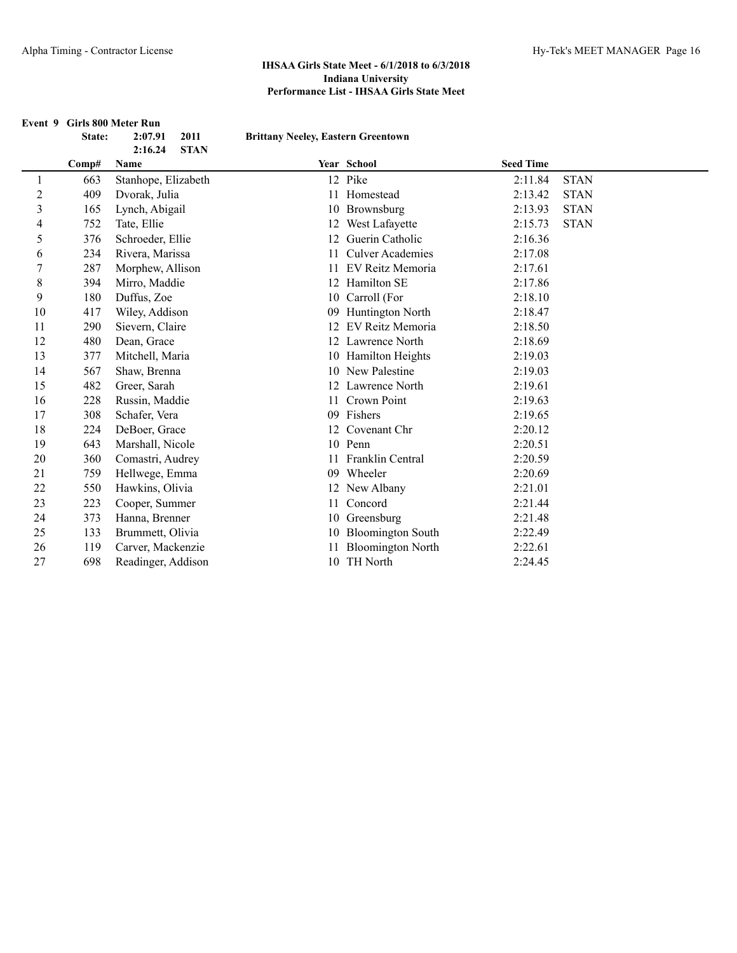|                |        | Event 9 Girls 800 Meter Run               |                                           |                          |                  |             |
|----------------|--------|-------------------------------------------|-------------------------------------------|--------------------------|------------------|-------------|
|                | State: | 2011<br>2:07.91<br><b>STAN</b><br>2:16.24 | <b>Brittany Neeley, Eastern Greentown</b> |                          |                  |             |
|                | Comp#  | Name                                      |                                           | Year School              | <b>Seed Time</b> |             |
| 1              | 663    | Stanhope, Elizabeth                       |                                           | 12 Pike                  | 2:11.84          | <b>STAN</b> |
| $\overline{c}$ | 409    | Dvorak, Julia                             | 11                                        | Homestead                | 2:13.42          | <b>STAN</b> |
| 3              | 165    | Lynch, Abigail                            |                                           | 10 Brownsburg            | 2:13.93          | <b>STAN</b> |
| 4              | 752    | Tate, Ellie                               |                                           | 12 West Lafayette        | 2:15.73          | <b>STAN</b> |
| 5              | 376    | Schroeder, Ellie                          | 12                                        | Guerin Catholic          | 2:16.36          |             |
| 6              | 234    | Rivera, Marissa                           | 11                                        | <b>Culver Academies</b>  | 2:17.08          |             |
| 7              | 287    | Morphew, Allison                          |                                           | EV Reitz Memoria         | 2:17.61          |             |
| 8              | 394    | Mirro, Maddie                             |                                           | 12 Hamilton SE           | 2:17.86          |             |
| 9              | 180    | Duffus, Zoe                               |                                           | 10 Carroll (For          | 2:18.10          |             |
| 10             | 417    | Wiley, Addison                            | 09                                        | Huntington North         | 2:18.47          |             |
| 11             | 290    | Sievern, Claire                           | 12                                        | EV Reitz Memoria         | 2:18.50          |             |
| 12             | 480    | Dean, Grace                               |                                           | 12 Lawrence North        | 2:18.69          |             |
| 13             | 377    | Mitchell, Maria                           |                                           | 10 Hamilton Heights      | 2:19.03          |             |
| 14             | 567    | Shaw, Brenna                              |                                           | 10 New Palestine         | 2:19.03          |             |
| 15             | 482    | Greer, Sarah                              |                                           | 12 Lawrence North        | 2:19.61          |             |
| 16             | 228    | Russin, Maddie                            | 11                                        | Crown Point              | 2:19.63          |             |
| 17             | 308    | Schafer, Vera                             |                                           | 09 Fishers               | 2:19.65          |             |
| 18             | 224    | DeBoer, Grace                             |                                           | 12 Covenant Chr          | 2:20.12          |             |
| 19             | 643    | Marshall, Nicole                          |                                           | 10 Penn                  | 2:20.51          |             |
| 20             | 360    | Comastri, Audrey                          | 11                                        | Franklin Central         | 2:20.59          |             |
| 21             | 759    | Hellwege, Emma                            |                                           | 09 Wheeler               | 2:20.69          |             |
| 22             | 550    | Hawkins, Olivia                           |                                           | 12 New Albany            | 2:21.01          |             |
| 23             | 223    | Cooper, Summer                            | 11                                        | Concord                  | 2:21.44          |             |
| 24             | 373    | Hanna, Brenner                            |                                           | 10 Greensburg            | 2:21.48          |             |
| 25             | 133    | Brummett, Olivia                          |                                           | 10 Bloomington South     | 2:22.49          |             |
| 26             | 119    | Carver, Mackenzie                         |                                           | <b>Bloomington North</b> | 2:22.61          |             |
| 27             | 698    | Readinger, Addison                        |                                           | 10 TH North              | 2:24.45          |             |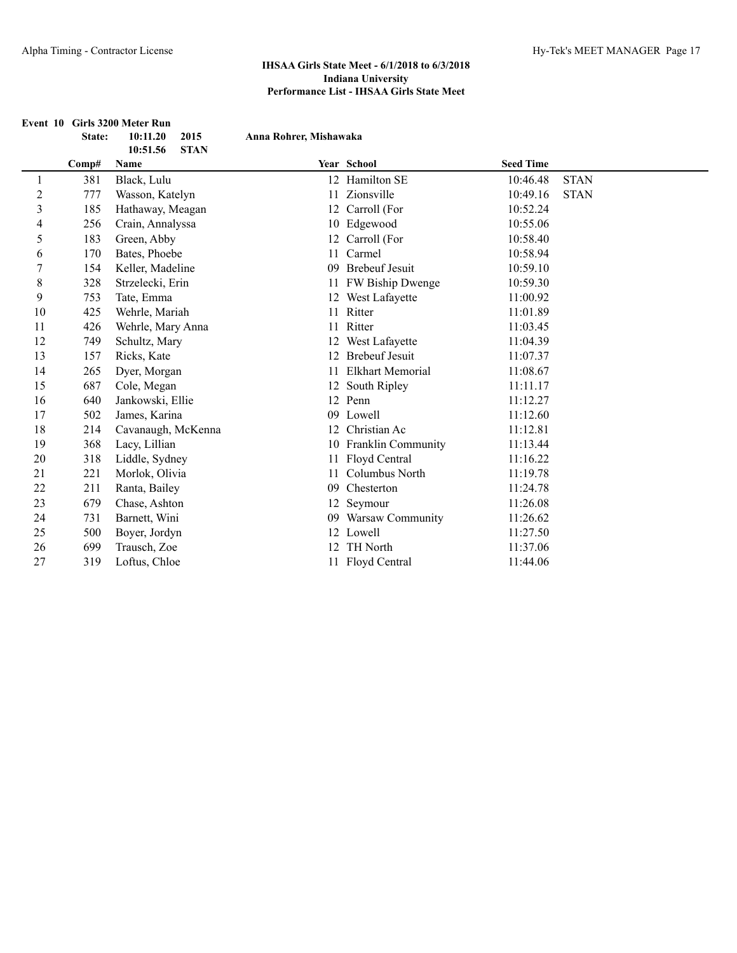|                |        | Event 10 Girls 3200 Meter Run               |                        |                         |                  |             |
|----------------|--------|---------------------------------------------|------------------------|-------------------------|------------------|-------------|
|                | State: | 2015<br>10:11.20<br>10:51.56<br><b>STAN</b> | Anna Rohrer, Mishawaka |                         |                  |             |
|                | Comp#  | Name                                        |                        | Year School             | <b>Seed Time</b> |             |
| 1              | 381    | Black, Lulu                                 |                        | 12 Hamilton SE          | 10:46.48         | <b>STAN</b> |
| $\sqrt{2}$     | 777    | Wasson, Katelyn                             | 11                     | Zionsville              | 10:49.16         | <b>STAN</b> |
| $\mathfrak{Z}$ | 185    | Hathaway, Meagan                            |                        | 12 Carroll (For         | 10:52.24         |             |
| 4              | 256    | Crain, Annalyssa                            |                        | 10 Edgewood             | 10:55.06         |             |
| 5              | 183    | Green, Abby                                 |                        | 12 Carroll (For         | 10:58.40         |             |
| 6              | 170    | Bates, Phoebe                               | 11                     | Carmel                  | 10:58.94         |             |
| $\overline{7}$ | 154    | Keller, Madeline                            | 09                     | <b>Brebeuf Jesuit</b>   | 10:59.10         |             |
| $\,$ $\,$      | 328    | Strzelecki, Erin                            |                        | 11 FW Biship Dwenge     | 10:59.30         |             |
| 9              | 753    | Tate, Emma                                  |                        | 12 West Lafayette       | 11:00.92         |             |
| 10             | 425    | Wehrle, Mariah                              | 11                     | Ritter                  | 11:01.89         |             |
| 11             | 426    | Wehrle, Mary Anna                           | 11                     | Ritter                  | 11:03.45         |             |
| 12             | 749    | Schultz, Mary                               |                        | 12 West Lafayette       | 11:04.39         |             |
| 13             | 157    | Ricks, Kate                                 | 12                     | <b>Brebeuf Jesuit</b>   | 11:07.37         |             |
| 14             | 265    | Dyer, Morgan                                | 11                     | <b>Elkhart Memorial</b> | 11:08.67         |             |
| 15             | 687    | Cole, Megan                                 | 12                     | South Ripley            | 11:11.17         |             |
| 16             | 640    | Jankowski, Ellie                            |                        | 12 Penn                 | 11:12.27         |             |
| 17             | 502    | James, Karina                               |                        | 09 Lowell               | 11:12.60         |             |
| 18             | 214    | Cavanaugh, McKenna                          |                        | 12 Christian Ac         | 11:12.81         |             |
| 19             | 368    | Lacy, Lillian                               |                        | 10 Franklin Community   | 11:13.44         |             |
| 20             | 318    | Liddle, Sydney                              | 11                     | Floyd Central           | 11:16.22         |             |
| 21             | 221    | Morlok, Olivia                              | 11                     | Columbus North          | 11:19.78         |             |
| 22             | 211    | Ranta, Bailey                               | 09                     | Chesterton              | 11:24.78         |             |
| 23             | 679    | Chase, Ashton                               | 12                     | Seymour                 | 11:26.08         |             |
| 24             | 731    | Barnett, Wini                               |                        | 09 Warsaw Community     | 11:26.62         |             |
| 25             | 500    | Boyer, Jordyn                               |                        | 12 Lowell               | 11:27.50         |             |
| 26             | 699    | Trausch, Zoe                                |                        | TH North                | 11:37.06         |             |
| 27             | 319    | Loftus, Chloe                               |                        | 11 Floyd Central        | 11:44.06         |             |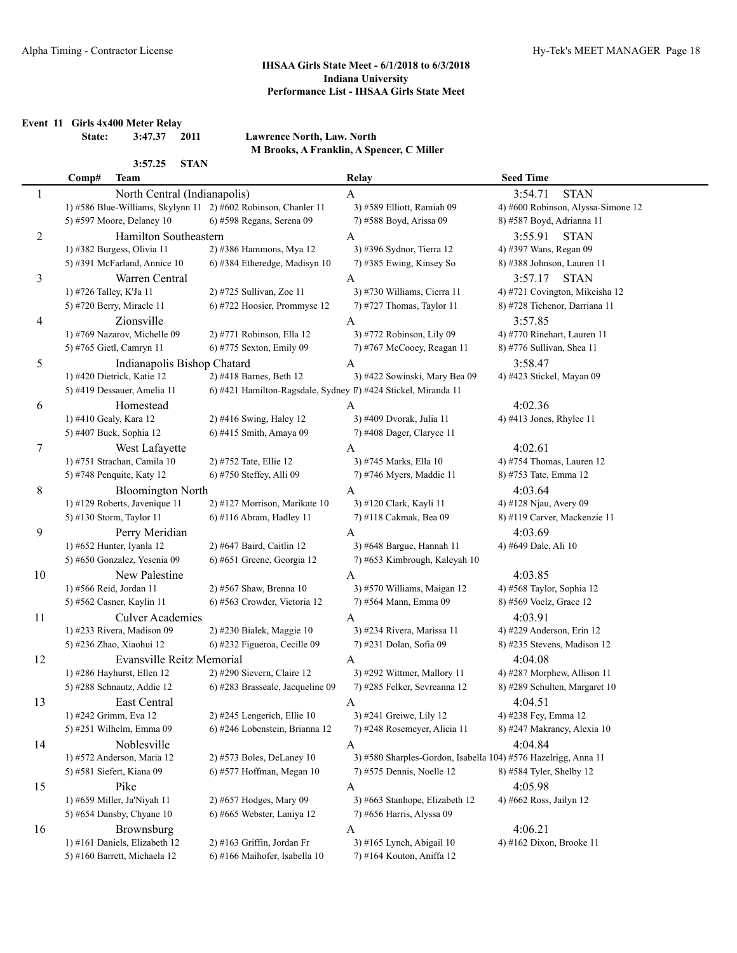**Event 11 Girls 4x400 Meter Relay**

**State: 3:47.37 2011 Lawrence North, Law. North M Brooks, A Franklin, A Spencer, C Miller**

# 3:57.25 **STAN**

|    | Comp#                   | <b>Team</b>                      |                                                                | Relay                                                          | <b>Seed Time</b>                       |
|----|-------------------------|----------------------------------|----------------------------------------------------------------|----------------------------------------------------------------|----------------------------------------|
| 1  |                         | North Central (Indianapolis)     |                                                                | A                                                              | 3:54.71<br><b>STAN</b>                 |
|    |                         |                                  | 1) #586 Blue-Williams, Skylynn 11 2) #602 Robinson, Chanler 11 | 3) #589 Elliott, Ramiah 09                                     | 4) #600 Robinson, Alyssa-Simone 12     |
|    |                         | 5) #597 Moore, Delaney 10        | 6) #598 Regans, Serena 09                                      | 7) #588 Boyd, Arissa 09                                        | 8) #587 Boyd, Adrianna 11              |
| 2  |                         | Hamilton Southeastern            |                                                                | A                                                              | <b>STAN</b><br>3:55.91                 |
|    |                         | 1) #382 Burgess, Olivia 11       | 2) #386 Hammons, Mya 12                                        | 3) #396 Sydnor, Tierra 12                                      | 4) #397 Wans, Regan 09                 |
|    |                         | 5) #391 McFarland, Annice 10     | 6) #384 Etheredge, Madisyn 10                                  | 7) #385 Ewing, Kinsey So                                       | 8) #388 Johnson, Lauren 11             |
| 3  |                         | Warren Central                   |                                                                | A                                                              | 3:57.17<br><b>STAN</b>                 |
|    | 1) #726 Talley, K'Ja 11 |                                  | 2) #725 Sullivan, Zoe 11                                       | 3) #730 Williams, Cierra 11                                    | 4) #721 Covington, Mikeisha 12         |
|    |                         |                                  | 6) #722 Hoosier, Prommyse 12                                   |                                                                | 8) #728 Tichenor, Darriana 11          |
|    |                         | 5) #720 Berry, Miracle 11        |                                                                | 7) #727 Thomas, Taylor 11                                      |                                        |
| 4  |                         | Zionsville                       |                                                                | A                                                              | 3:57.85                                |
|    |                         | 1) #769 Nazarov, Michelle 09     | 2) #771 Robinson, Ella 12                                      | 3) #772 Robinson, Lily 09                                      | 4) #770 Rinehart, Lauren 11            |
|    |                         | 5) #765 Gietl, Camryn 11         | 6) #775 Sexton, Emily 09                                       | 7) #767 McCooey, Reagan 11                                     | 8) #776 Sullivan, Shea 11              |
| 5  |                         | Indianapolis Bishop Chatard      |                                                                | A                                                              | 3:58.47                                |
|    |                         | 1) #420 Dietrick, Katie 12       | 2) #418 Barnes, Beth 12                                        | 3) #422 Sowinski, Mary Bea 09                                  | 4) #423 Stickel, Mayan 09              |
|    |                         | 5) #419 Dessauer, Amelia 11      | 6) #421 Hamilton-Ragsdale, Sydney 『) #424 Stickel, Miranda 11  |                                                                |                                        |
| 6  |                         | Homestead                        |                                                                | A                                                              | 4:02.36                                |
|    | 1) #410 Gealy, Kara 12  |                                  | 2) #416 Swing, Haley 12                                        | 3) #409 Dvorak, Julia 11                                       | 4) #413 Jones, Rhylee 11               |
|    |                         | 5) #407 Buck, Sophia 12          | 6) #415 Smith, Amaya 09                                        | 7) #408 Dager, Claryce 11                                      |                                        |
| 7  |                         | West Lafayette                   |                                                                | A                                                              | 4:02.61                                |
|    |                         | 1) #751 Strachan, Camila 10      | 2) #752 Tate, Ellie 12                                         | 3) #745 Marks, Ella 10                                         | 4) #754 Thomas, Lauren 12              |
|    |                         | 5) #748 Penquite, Katy 12        | 6) #750 Steffey, Alli 09                                       | 7) #746 Myers, Maddie 11                                       | 8) #753 Tate, Emma 12                  |
| 8  |                         | <b>Bloomington North</b>         |                                                                | A                                                              | 4:03.64                                |
|    |                         | 1) #129 Roberts, Javenique 11    | 2) #127 Morrison, Marikate 10                                  | 3) #120 Clark, Kayli 11                                        | 4) #128 Njau, Avery 09                 |
|    |                         | 5) #130 Storm, Taylor 11         | 6) #116 Abram, Hadley 11                                       | 7) #118 Cakmak, Bea 09                                         | 8) #119 Carver, Mackenzie 11           |
| 9  |                         | Perry Meridian                   |                                                                | A                                                              | 4:03.69                                |
|    |                         | 1) #652 Hunter, Iyanla 12        | 2) #647 Baird, Caitlin 12                                      | 3) #648 Bargue, Hannah 11                                      | 4) #649 Dale, Ali 10                   |
|    |                         | 5) #650 Gonzalez, Yesenia 09     | 6) #651 Greene, Georgia 12                                     | 7) #653 Kimbrough, Kaleyah 10                                  |                                        |
| 10 |                         | New Palestine                    |                                                                | A                                                              | 4:03.85                                |
|    |                         | 1) #566 Reid, Jordan 11          | 2) #567 Shaw, Brenna 10                                        | 3) #570 Williams, Maigan 12                                    | 4) #568 Taylor, Sophia 12              |
|    |                         | 5) #562 Casner, Kaylin 11        | 6) #563 Crowder, Victoria 12                                   | 7) #564 Mann, Emma 09                                          | 8) #569 Voelz, Grace 12                |
| 11 |                         | <b>Culver Academies</b>          |                                                                | A                                                              | 4:03.91                                |
|    |                         | 1) #233 Rivera, Madison 09       | 2) #230 Bialek, Maggie 10                                      | 3) #234 Rivera, Marissa 11                                     | 4) #229 Anderson, Erin 12              |
|    |                         | 5) #236 Zhao, Xiaohui 12         | 6) #232 Figueroa, Cecille 09                                   | 7) #231 Dolan, Sofia 09                                        | 8) #235 Stevens, Madison 12            |
|    |                         | <b>Evansville Reitz Memorial</b> |                                                                |                                                                |                                        |
| 12 |                         | 1) #286 Hayhurst, Ellen 12       | 2) #290 Sievern, Claire 12                                     | A<br>3) #292 Wittmer, Mallory 11                               | 4:04.08<br>4) #287 Morphew, Allison 11 |
|    |                         | 5) #288 Schnautz, Addie 12       | 6) #283 Brasseale, Jacqueline 09                               | 7) #285 Felker, Sevreanna 12                                   | 8) #289 Schulten, Margaret 10          |
|    |                         |                                  |                                                                |                                                                |                                        |
| 13 |                         | East Central                     |                                                                | A                                                              | 4:04.51                                |
|    |                         | 1) #242 Grimm, Eva 12            | 2) #245 Lengerich, Ellie 10                                    | 3) #241 Greiwe, Lily 12                                        | 4) #238 Fey, Emma 12                   |
|    |                         | 5) #251 Wilhelm, Emma 09         | 6) #246 Lobenstein, Brianna 12                                 | 7) #248 Rosemeyer, Alicia 11                                   | 8) #247 Makrancy, Alexia 10            |
| 14 |                         | Noblesville                      |                                                                | A                                                              | 4:04.84                                |
|    |                         | 1) #572 Anderson, Maria 12       | 2) #573 Boles, DeLaney 10                                      | 3) #580 Sharples-Gordon, Isabella 104) #576 Hazelrigg, Anna 11 |                                        |
|    |                         | 5) #581 Siefert, Kiana 09        | 6) #577 Hoffman, Megan 10                                      | 7) #575 Dennis, Noelle 12                                      | 8) #584 Tyler, Shelby 12               |
| 15 |                         | Pike                             |                                                                | A                                                              | 4:05.98                                |
|    |                         | 1) #659 Miller, Ja'Niyah 11      | 2) #657 Hodges, Mary 09                                        | 3) #663 Stanhope, Elizabeth 12                                 | 4) #662 Ross, Jailyn 12                |
|    |                         | 5) #654 Dansby, Chyane 10        | 6) #665 Webster, Laniya 12                                     | 7) #656 Harris, Alyssa 09                                      |                                        |
| 16 |                         | Brownsburg                       |                                                                | A                                                              | 4:06.21                                |
|    |                         | 1) #161 Daniels, Elizabeth 12    | 2) #163 Griffin, Jordan Fr                                     | 3) #165 Lynch, Abigail 10                                      | 4) #162 Dixon, Brooke 11               |
|    |                         | 5) #160 Barrett, Michaela 12     | 6) #166 Maihofer, Isabella 10                                  | 7) #164 Kouton, Aniffa 12                                      |                                        |